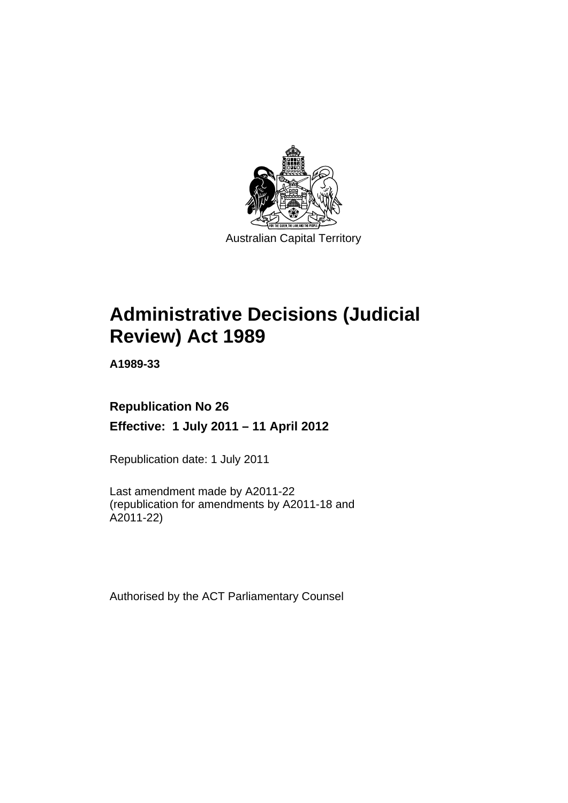

# **Administrative Decisions (Judicial Review) Act 1989**

**A1989-33** 

## **Republication No 26 Effective: 1 July 2011 – 11 April 2012**

Republication date: 1 July 2011

Last amendment made by A2011-22 (republication for amendments by A2011-18 and A2011-22)

Authorised by the ACT Parliamentary Counsel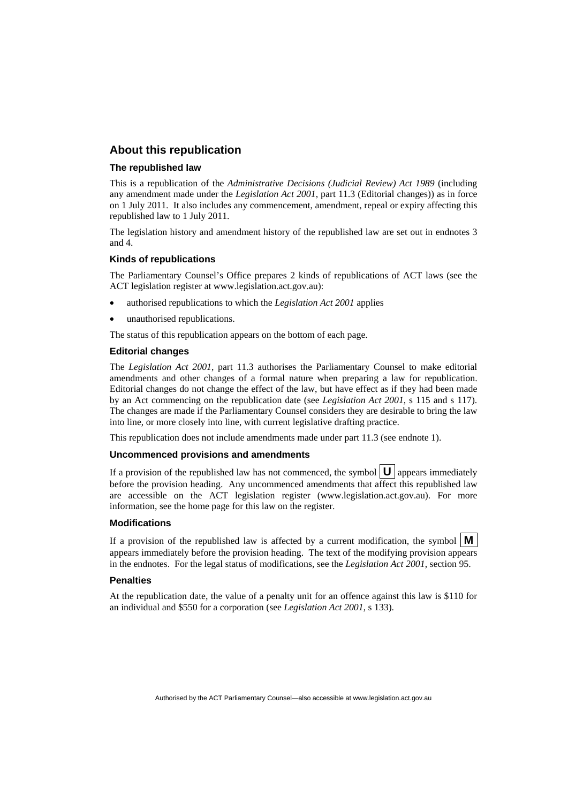## **About this republication**

#### **The republished law**

This is a republication of the *Administrative Decisions (Judicial Review) Act 1989* (including any amendment made under the *Legislation Act 2001*, part 11.3 (Editorial changes)) as in force on 1 July 2011*.* It also includes any commencement, amendment, repeal or expiry affecting this republished law to 1 July 2011.

The legislation history and amendment history of the republished law are set out in endnotes 3 and 4.

#### **Kinds of republications**

The Parliamentary Counsel's Office prepares 2 kinds of republications of ACT laws (see the ACT legislation register at www.legislation.act.gov.au):

- authorised republications to which the *Legislation Act 2001* applies
- unauthorised republications.

The status of this republication appears on the bottom of each page.

#### **Editorial changes**

The *Legislation Act 2001*, part 11.3 authorises the Parliamentary Counsel to make editorial amendments and other changes of a formal nature when preparing a law for republication. Editorial changes do not change the effect of the law, but have effect as if they had been made by an Act commencing on the republication date (see *Legislation Act 2001*, s 115 and s 117). The changes are made if the Parliamentary Counsel considers they are desirable to bring the law into line, or more closely into line, with current legislative drafting practice.

This republication does not include amendments made under part 11.3 (see endnote 1).

#### **Uncommenced provisions and amendments**

If a provision of the republished law has not commenced, the symbol  $\mathbf{U}$  appears immediately before the provision heading. Any uncommenced amendments that affect this republished law are accessible on the ACT legislation register (www.legislation.act.gov.au). For more information, see the home page for this law on the register.

#### **Modifications**

If a provision of the republished law is affected by a current modification, the symbol  $\mathbf{M}$ appears immediately before the provision heading. The text of the modifying provision appears in the endnotes. For the legal status of modifications, see the *Legislation Act 2001*, section 95.

#### **Penalties**

At the republication date, the value of a penalty unit for an offence against this law is \$110 for an individual and \$550 for a corporation (see *Legislation Act 2001*, s 133).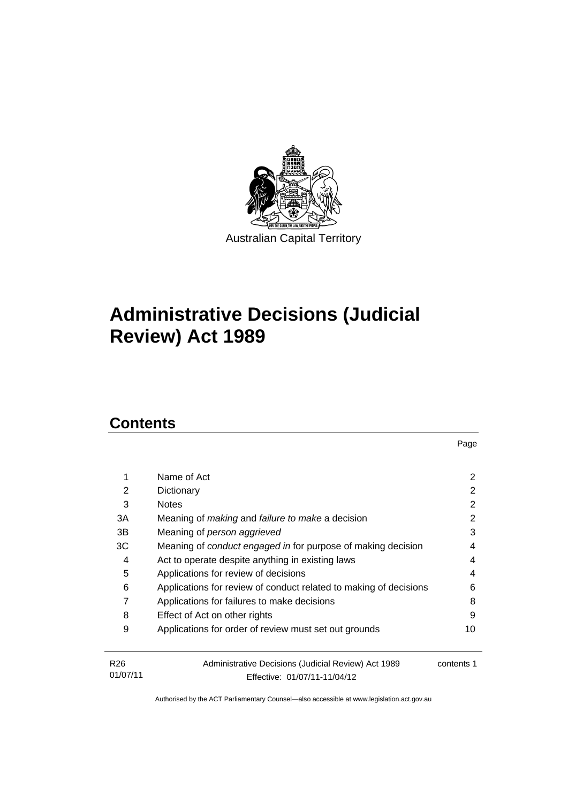

# **Administrative Decisions (Judicial Review) Act 1989**

## **Contents**

| 1                           | Name of Act                                                                         | 2          |
|-----------------------------|-------------------------------------------------------------------------------------|------------|
| 2                           | Dictionary                                                                          | 2          |
| 3                           | <b>Notes</b>                                                                        | 2          |
| 3A                          | Meaning of <i>making</i> and <i>failure to make</i> a decision                      | 2          |
| 3В                          | Meaning of person aggrieved                                                         | 3          |
| ЗC                          | Meaning of conduct engaged in for purpose of making decision                        | 4          |
| 4                           | Act to operate despite anything in existing laws                                    | 4          |
| 5                           | Applications for review of decisions                                                | 4          |
| 6                           | Applications for review of conduct related to making of decisions                   | 6          |
| 7                           | Applications for failures to make decisions                                         | 8          |
| 8                           | Effect of Act on other rights                                                       | 9          |
| 9                           | Applications for order of review must set out grounds                               | 10         |
| R <sub>26</sub><br>01/07/11 | Administrative Decisions (Judicial Review) Act 1989<br>Fffective: 01/07/11-11/04/12 | contents 1 |

Effective: 01/07/11-11/04/12

Page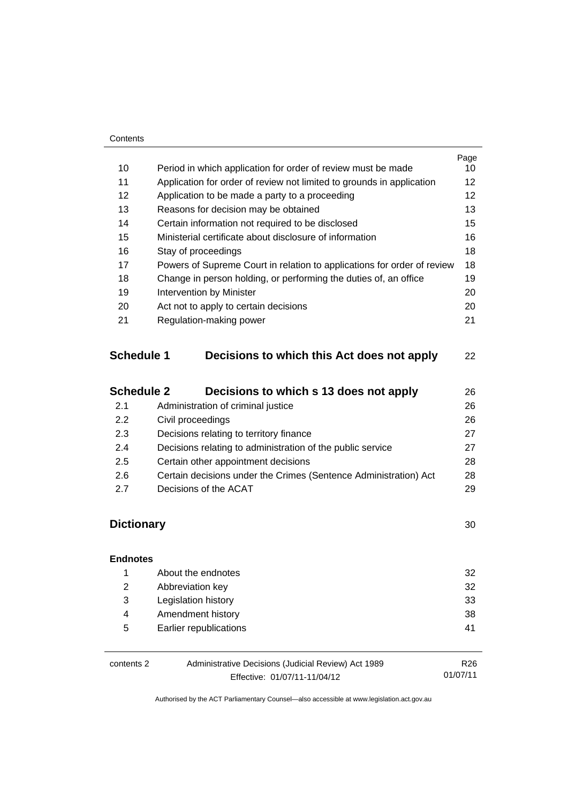#### **Contents**

| 10<br>11<br>12    | Period in which application for order of review must be made<br>Application for order of review not limited to grounds in application              | 10 |
|-------------------|----------------------------------------------------------------------------------------------------------------------------------------------------|----|
|                   |                                                                                                                                                    | 12 |
|                   | Application to be made a party to a proceeding                                                                                                     | 12 |
| 13                |                                                                                                                                                    | 13 |
|                   | Reasons for decision may be obtained                                                                                                               |    |
| 14                | Certain information not required to be disclosed                                                                                                   | 15 |
| 15                | Ministerial certificate about disclosure of information                                                                                            | 16 |
| 16                | Stay of proceedings                                                                                                                                | 18 |
| 17                | Powers of Supreme Court in relation to applications for order of review                                                                            | 18 |
| 18                | Change in person holding, or performing the duties of, an office                                                                                   | 19 |
| 19                | <b>Intervention by Minister</b>                                                                                                                    | 20 |
| 20                | Act not to apply to certain decisions                                                                                                              | 20 |
| 21                | Regulation-making power                                                                                                                            | 21 |
| <b>Schedule 1</b> | Decisions to which this Act does not apply                                                                                                         | 22 |
| <b>Schedule 2</b> | Decisions to which s 13 does not apply                                                                                                             | 26 |
| 2.1               | Administration of criminal justice                                                                                                                 | 26 |
| 2.2               | Civil proceedings                                                                                                                                  | 26 |
| 2.3               |                                                                                                                                                    |    |
| 2.4               | Decisions relating to administration of the public service                                                                                         | 27 |
| 2.5               |                                                                                                                                                    | 28 |
| 2.6               |                                                                                                                                                    | 28 |
|                   |                                                                                                                                                    |    |
|                   | Decisions relating to territory finance<br>Certain other appointment decisions<br>Certain decisions under the Crimes (Sentence Administration) Act | 27 |

## **Dictionary** [30](#page-33-0)

| <b>Endnotes</b> |                                                     |                 |
|-----------------|-----------------------------------------------------|-----------------|
| 1               | About the endnotes                                  | 32              |
| 2               | Abbreviation key                                    | 32              |
| 3               | Legislation history                                 | 33              |
| 4               | Amendment history                                   | 38              |
| 5               | Earlier republications                              | 41              |
| contents 2      | Administrative Decisions (Judicial Review) Act 1989 | R <sub>26</sub> |

Effective: 01/07/11-11/04/12

01/07/11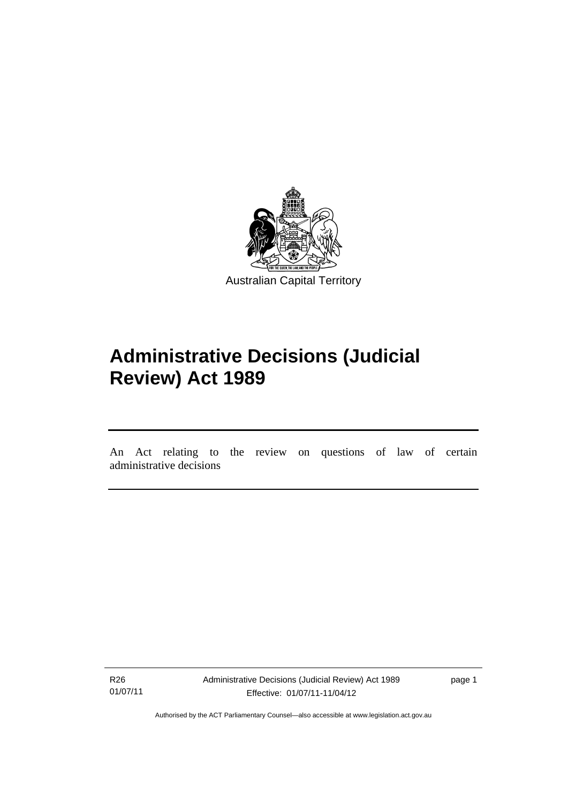

# **Administrative Decisions (Judicial Review) Act 1989**

An Act relating to the review on questions of law of certain administrative decisions

R26 01/07/11

l

Administrative Decisions (Judicial Review) Act 1989 Effective: 01/07/11-11/04/12

page 1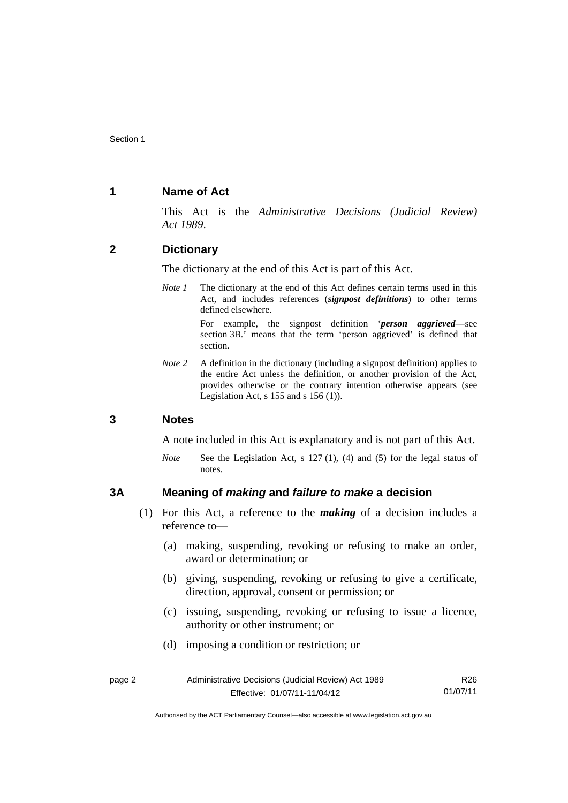## <span id="page-5-0"></span>**1 Name of Act**

This Act is the *Administrative Decisions (Judicial Review) Act 1989*.

## <span id="page-5-1"></span>**2 Dictionary**

The dictionary at the end of this Act is part of this Act.

*Note 1* The dictionary at the end of this Act defines certain terms used in this Act, and includes references (*signpost definitions*) to other terms defined elsewhere.

> For example, the signpost definition '*person aggrieved*—see section 3B.' means that the term 'person aggrieved' is defined that section.

*Note* 2 A definition in the dictionary (including a signpost definition) applies to the entire Act unless the definition, or another provision of the Act, provides otherwise or the contrary intention otherwise appears (see Legislation Act,  $s$  155 and  $s$  156 (1)).

#### <span id="page-5-2"></span>**3 Notes**

A note included in this Act is explanatory and is not part of this Act.

*Note* See the Legislation Act, s 127 (1), (4) and (5) for the legal status of notes.

## <span id="page-5-3"></span>**3A Meaning of** *making* **and** *failure to make* **a decision**

- (1) For this Act, a reference to the *making* of a decision includes a reference to—
	- (a) making, suspending, revoking or refusing to make an order, award or determination; or
	- (b) giving, suspending, revoking or refusing to give a certificate, direction, approval, consent or permission; or
	- (c) issuing, suspending, revoking or refusing to issue a licence, authority or other instrument; or
	- (d) imposing a condition or restriction; or

| page 2 | Administrative Decisions (Judicial Review) Act 1989 | R26      |
|--------|-----------------------------------------------------|----------|
|        | Effective: 01/07/11-11/04/12                        | 01/07/11 |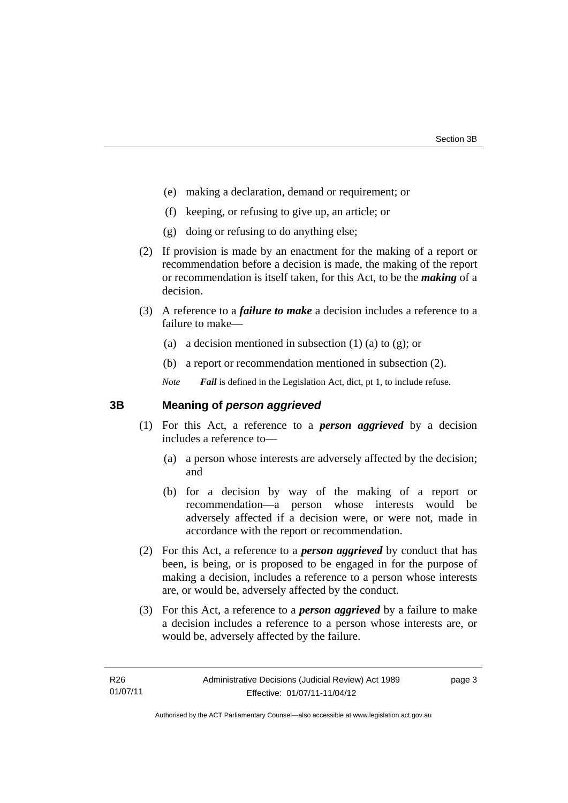- (e) making a declaration, demand or requirement; or
- (f) keeping, or refusing to give up, an article; or
- (g) doing or refusing to do anything else;
- (2) If provision is made by an enactment for the making of a report or recommendation before a decision is made, the making of the report or recommendation is itself taken, for this Act, to be the *making* of a decision.
- (3) A reference to a *failure to make* a decision includes a reference to a failure to make—
	- (a) a decision mentioned in subsection  $(1)$  (a) to  $(g)$ ; or
	- (b) a report or recommendation mentioned in subsection (2).
	- *Note Fail* is defined in the Legislation Act, dict, pt 1, to include refuse.

## <span id="page-6-0"></span>**3B Meaning of** *person aggrieved*

- (1) For this Act, a reference to a *person aggrieved* by a decision includes a reference to—
	- (a) a person whose interests are adversely affected by the decision; and
	- (b) for a decision by way of the making of a report or recommendation—a person whose interests would be adversely affected if a decision were, or were not, made in accordance with the report or recommendation.
- (2) For this Act, a reference to a *person aggrieved* by conduct that has been, is being, or is proposed to be engaged in for the purpose of making a decision, includes a reference to a person whose interests are, or would be, adversely affected by the conduct.
- (3) For this Act, a reference to a *person aggrieved* by a failure to make a decision includes a reference to a person whose interests are, or would be, adversely affected by the failure.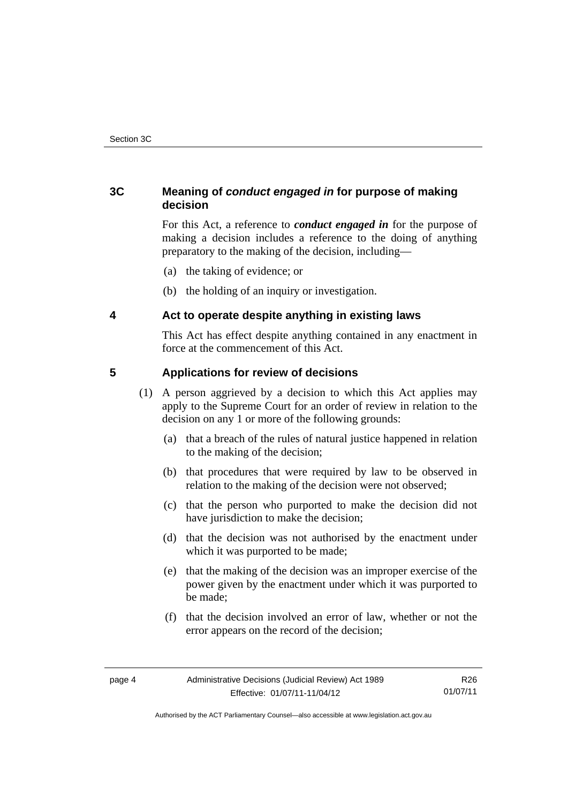## <span id="page-7-0"></span>**3C Meaning of** *conduct engaged in* **for purpose of making decision**

For this Act, a reference to *conduct engaged in* for the purpose of making a decision includes a reference to the doing of anything preparatory to the making of the decision, including—

- (a) the taking of evidence; or
- (b) the holding of an inquiry or investigation.

## <span id="page-7-1"></span>**4 Act to operate despite anything in existing laws**

This Act has effect despite anything contained in any enactment in force at the commencement of this Act.

## <span id="page-7-2"></span>**5 Applications for review of decisions**

- (1) A person aggrieved by a decision to which this Act applies may apply to the Supreme Court for an order of review in relation to the decision on any 1 or more of the following grounds:
	- (a) that a breach of the rules of natural justice happened in relation to the making of the decision;
	- (b) that procedures that were required by law to be observed in relation to the making of the decision were not observed;
	- (c) that the person who purported to make the decision did not have jurisdiction to make the decision;
	- (d) that the decision was not authorised by the enactment under which it was purported to be made;
	- (e) that the making of the decision was an improper exercise of the power given by the enactment under which it was purported to be made;
	- (f) that the decision involved an error of law, whether or not the error appears on the record of the decision;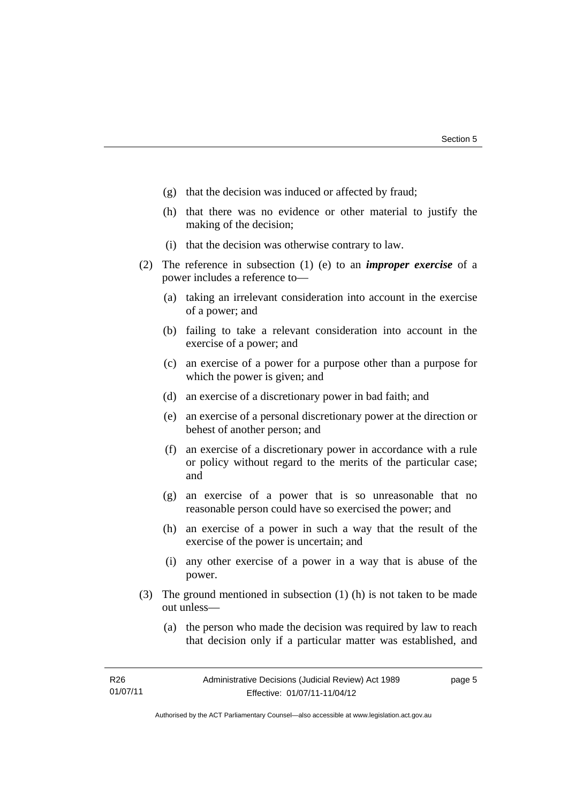- (g) that the decision was induced or affected by fraud;
- (h) that there was no evidence or other material to justify the making of the decision;
- (i) that the decision was otherwise contrary to law.
- (2) The reference in subsection (1) (e) to an *improper exercise* of a power includes a reference to—
	- (a) taking an irrelevant consideration into account in the exercise of a power; and
	- (b) failing to take a relevant consideration into account in the exercise of a power; and
	- (c) an exercise of a power for a purpose other than a purpose for which the power is given; and
	- (d) an exercise of a discretionary power in bad faith; and
	- (e) an exercise of a personal discretionary power at the direction or behest of another person; and
	- (f) an exercise of a discretionary power in accordance with a rule or policy without regard to the merits of the particular case; and
	- (g) an exercise of a power that is so unreasonable that no reasonable person could have so exercised the power; and
	- (h) an exercise of a power in such a way that the result of the exercise of the power is uncertain; and
	- (i) any other exercise of a power in a way that is abuse of the power.
- (3) The ground mentioned in subsection (1) (h) is not taken to be made out unless—
	- (a) the person who made the decision was required by law to reach that decision only if a particular matter was established, and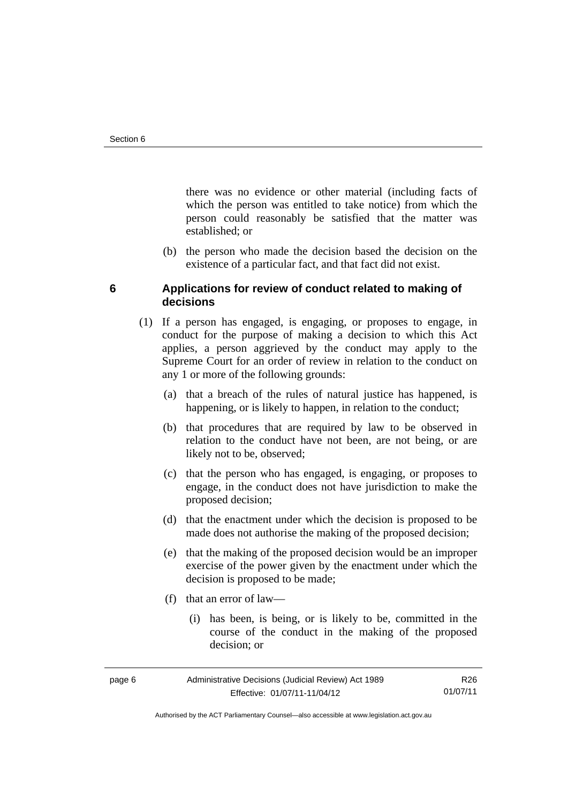there was no evidence or other material (including facts of which the person was entitled to take notice) from which the person could reasonably be satisfied that the matter was established; or

 (b) the person who made the decision based the decision on the existence of a particular fact, and that fact did not exist.

## <span id="page-9-0"></span>**6 Applications for review of conduct related to making of decisions**

- (1) If a person has engaged, is engaging, or proposes to engage, in conduct for the purpose of making a decision to which this Act applies, a person aggrieved by the conduct may apply to the Supreme Court for an order of review in relation to the conduct on any 1 or more of the following grounds:
	- (a) that a breach of the rules of natural justice has happened, is happening, or is likely to happen, in relation to the conduct;
	- (b) that procedures that are required by law to be observed in relation to the conduct have not been, are not being, or are likely not to be, observed;
	- (c) that the person who has engaged, is engaging, or proposes to engage, in the conduct does not have jurisdiction to make the proposed decision;
	- (d) that the enactment under which the decision is proposed to be made does not authorise the making of the proposed decision;
	- (e) that the making of the proposed decision would be an improper exercise of the power given by the enactment under which the decision is proposed to be made;
	- (f) that an error of law—
		- (i) has been, is being, or is likely to be, committed in the course of the conduct in the making of the proposed decision; or

| page 6 | Administrative Decisions (Judicial Review) Act 1989 | R26.     |
|--------|-----------------------------------------------------|----------|
|        | Effective: 01/07/11-11/04/12                        | 01/07/11 |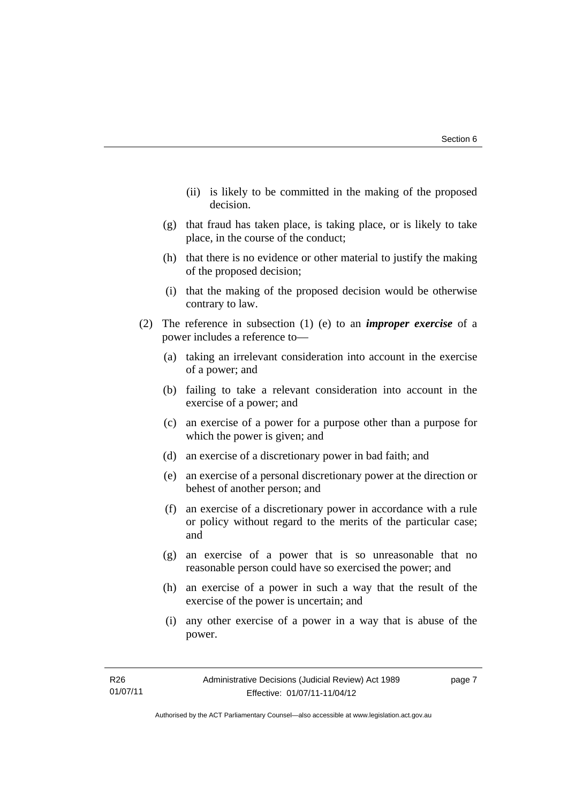- (ii) is likely to be committed in the making of the proposed decision.
- (g) that fraud has taken place, is taking place, or is likely to take place, in the course of the conduct;
- (h) that there is no evidence or other material to justify the making of the proposed decision;
- (i) that the making of the proposed decision would be otherwise contrary to law.
- (2) The reference in subsection (1) (e) to an *improper exercise* of a power includes a reference to—
	- (a) taking an irrelevant consideration into account in the exercise of a power; and
	- (b) failing to take a relevant consideration into account in the exercise of a power; and
	- (c) an exercise of a power for a purpose other than a purpose for which the power is given; and
	- (d) an exercise of a discretionary power in bad faith; and
	- (e) an exercise of a personal discretionary power at the direction or behest of another person; and
	- (f) an exercise of a discretionary power in accordance with a rule or policy without regard to the merits of the particular case; and
	- (g) an exercise of a power that is so unreasonable that no reasonable person could have so exercised the power; and
	- (h) an exercise of a power in such a way that the result of the exercise of the power is uncertain; and
	- (i) any other exercise of a power in a way that is abuse of the power.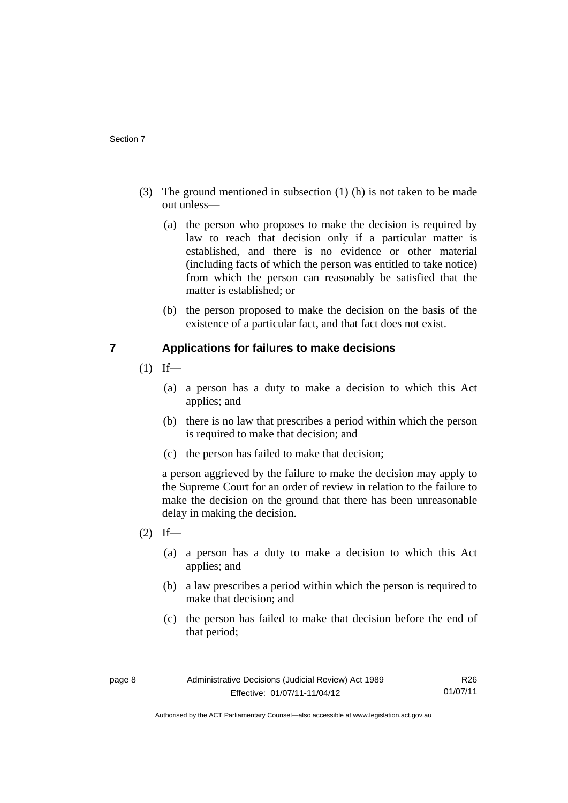- (3) The ground mentioned in subsection (1) (h) is not taken to be made out unless—
	- (a) the person who proposes to make the decision is required by law to reach that decision only if a particular matter is established, and there is no evidence or other material (including facts of which the person was entitled to take notice) from which the person can reasonably be satisfied that the matter is established; or
	- (b) the person proposed to make the decision on the basis of the existence of a particular fact, and that fact does not exist.

## <span id="page-11-0"></span>**7 Applications for failures to make decisions**

- $(1)$  If—
	- (a) a person has a duty to make a decision to which this Act applies; and
	- (b) there is no law that prescribes a period within which the person is required to make that decision; and
	- (c) the person has failed to make that decision;

a person aggrieved by the failure to make the decision may apply to the Supreme Court for an order of review in relation to the failure to make the decision on the ground that there has been unreasonable delay in making the decision.

- $(2)$  If—
	- (a) a person has a duty to make a decision to which this Act applies; and
	- (b) a law prescribes a period within which the person is required to make that decision; and
	- (c) the person has failed to make that decision before the end of that period;

Authorised by the ACT Parliamentary Counsel—also accessible at www.legislation.act.gov.au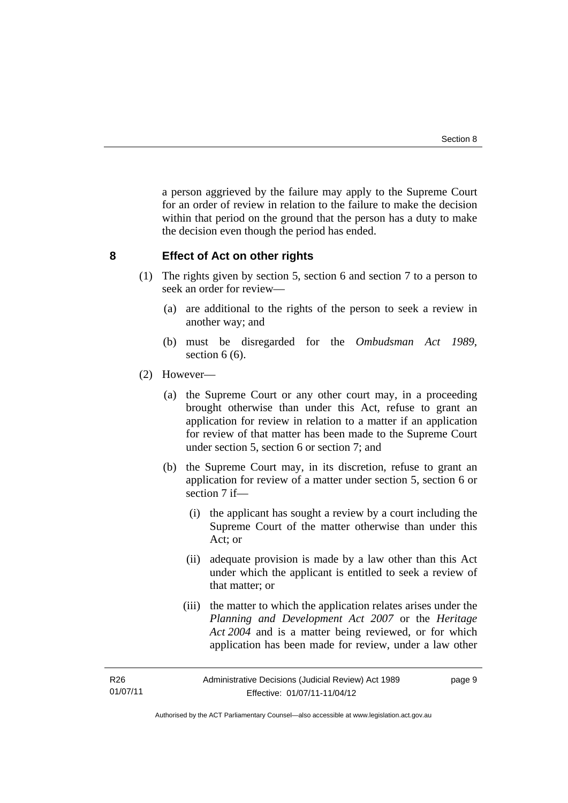a person aggrieved by the failure may apply to the Supreme Court for an order of review in relation to the failure to make the decision within that period on the ground that the person has a duty to make the decision even though the period has ended.

## <span id="page-12-0"></span>**8 Effect of Act on other rights**

- (1) The rights given by section 5, section 6 and section 7 to a person to seek an order for review—
	- (a) are additional to the rights of the person to seek a review in another way; and
	- (b) must be disregarded for the *Ombudsman Act 1989*, section  $6(6)$ .
- (2) However—
	- (a) the Supreme Court or any other court may, in a proceeding brought otherwise than under this Act, refuse to grant an application for review in relation to a matter if an application for review of that matter has been made to the Supreme Court under section 5, section 6 or section 7; and
	- (b) the Supreme Court may, in its discretion, refuse to grant an application for review of a matter under section 5, section 6 or section 7 if-
		- (i) the applicant has sought a review by a court including the Supreme Court of the matter otherwise than under this Act; or
		- (ii) adequate provision is made by a law other than this Act under which the applicant is entitled to seek a review of that matter; or
		- (iii) the matter to which the application relates arises under the *Planning and Development Act 2007* or the *Heritage Act 2004* and is a matter being reviewed, or for which application has been made for review, under a law other

R26 01/07/11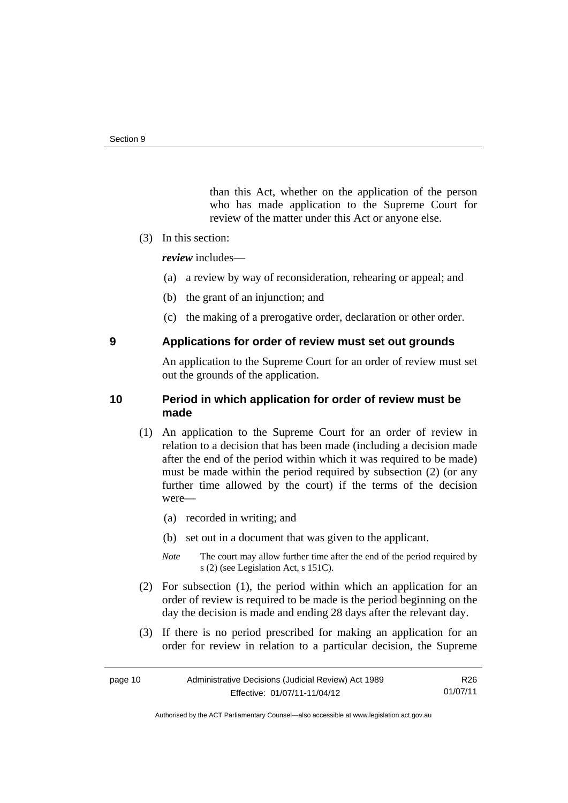than this Act, whether on the application of the person who has made application to the Supreme Court for review of the matter under this Act or anyone else.

(3) In this section:

*review* includes—

- (a) a review by way of reconsideration, rehearing or appeal; and
- (b) the grant of an injunction; and
- (c) the making of a prerogative order, declaration or other order.

## <span id="page-13-0"></span>**9 Applications for order of review must set out grounds**

An application to the Supreme Court for an order of review must set out the grounds of the application.

## <span id="page-13-1"></span>**10 Period in which application for order of review must be made**

- (1) An application to the Supreme Court for an order of review in relation to a decision that has been made (including a decision made after the end of the period within which it was required to be made) must be made within the period required by subsection (2) (or any further time allowed by the court) if the terms of the decision were—
	- (a) recorded in writing; and
	- (b) set out in a document that was given to the applicant.
	- *Note* The court may allow further time after the end of the period required by s (2) (see Legislation Act, s 151C).
- (2) For subsection (1), the period within which an application for an order of review is required to be made is the period beginning on the day the decision is made and ending 28 days after the relevant day.
- (3) If there is no period prescribed for making an application for an order for review in relation to a particular decision, the Supreme

R26 01/07/11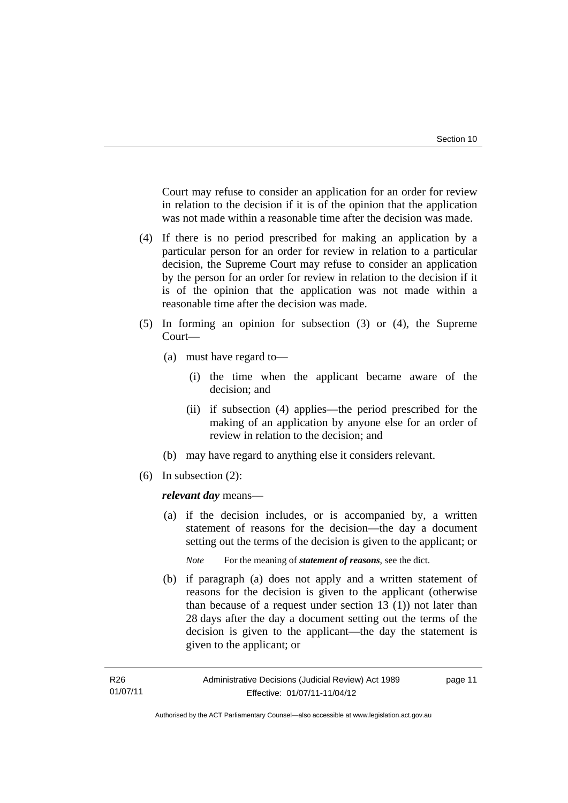Court may refuse to consider an application for an order for review in relation to the decision if it is of the opinion that the application was not made within a reasonable time after the decision was made.

- (4) If there is no period prescribed for making an application by a particular person for an order for review in relation to a particular decision, the Supreme Court may refuse to consider an application by the person for an order for review in relation to the decision if it is of the opinion that the application was not made within a reasonable time after the decision was made.
- (5) In forming an opinion for subsection (3) or (4), the Supreme Court—
	- (a) must have regard to—
		- (i) the time when the applicant became aware of the decision; and
		- (ii) if subsection (4) applies—the period prescribed for the making of an application by anyone else for an order of review in relation to the decision; and
	- (b) may have regard to anything else it considers relevant.
- (6) In subsection (2):

*relevant day* means—

 (a) if the decision includes, or is accompanied by, a written statement of reasons for the decision—the day a document setting out the terms of the decision is given to the applicant; or

*Note* For the meaning of *statement of reasons*, see the dict.

 (b) if paragraph (a) does not apply and a written statement of reasons for the decision is given to the applicant (otherwise than because of a request under section 13 (1)) not later than 28 days after the day a document setting out the terms of the decision is given to the applicant—the day the statement is given to the applicant; or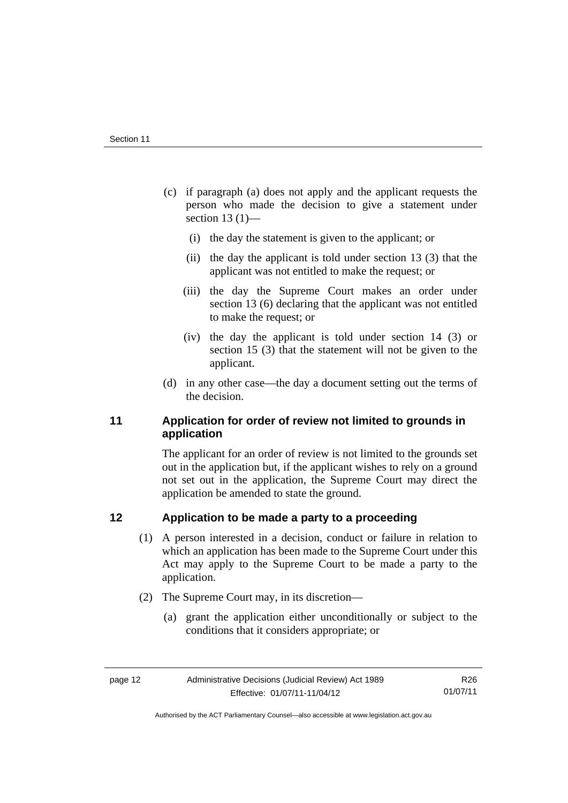- (c) if paragraph (a) does not apply and the applicant requests the person who made the decision to give a statement under section 13 $(1)$ —
	- (i) the day the statement is given to the applicant; or
	- (ii) the day the applicant is told under section 13 (3) that the applicant was not entitled to make the request; or
	- (iii) the day the Supreme Court makes an order under section 13 (6) declaring that the applicant was not entitled to make the request; or
	- (iv) the day the applicant is told under section 14 (3) or section 15 (3) that the statement will not be given to the applicant.
- (d) in any other case—the day a document setting out the terms of the decision.

## <span id="page-15-0"></span>**11 Application for order of review not limited to grounds in application**

The applicant for an order of review is not limited to the grounds set out in the application but, if the applicant wishes to rely on a ground not set out in the application, the Supreme Court may direct the application be amended to state the ground.

## <span id="page-15-1"></span>**12 Application to be made a party to a proceeding**

- (1) A person interested in a decision, conduct or failure in relation to which an application has been made to the Supreme Court under this Act may apply to the Supreme Court to be made a party to the application.
- (2) The Supreme Court may, in its discretion—
	- (a) grant the application either unconditionally or subject to the conditions that it considers appropriate; or

Authorised by the ACT Parliamentary Counsel—also accessible at www.legislation.act.gov.au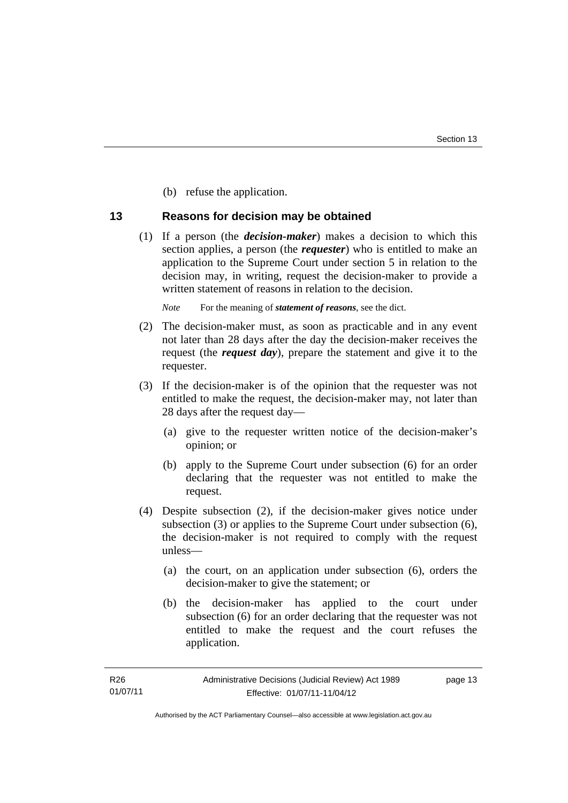(b) refuse the application.

## <span id="page-16-0"></span>**13 Reasons for decision may be obtained**

 (1) If a person (the *decision-maker*) makes a decision to which this section applies, a person (the *requester*) who is entitled to make an application to the Supreme Court under section 5 in relation to the decision may, in writing, request the decision-maker to provide a written statement of reasons in relation to the decision.

*Note* For the meaning of *statement of reasons*, see the dict.

- (2) The decision-maker must, as soon as practicable and in any event not later than 28 days after the day the decision-maker receives the request (the *request day*), prepare the statement and give it to the requester.
- (3) If the decision-maker is of the opinion that the requester was not entitled to make the request, the decision-maker may, not later than 28 days after the request day—
	- (a) give to the requester written notice of the decision-maker's opinion; or
	- (b) apply to the Supreme Court under subsection (6) for an order declaring that the requester was not entitled to make the request.
- (4) Despite subsection (2), if the decision-maker gives notice under subsection (3) or applies to the Supreme Court under subsection (6), the decision-maker is not required to comply with the request unless—
	- (a) the court, on an application under subsection (6), orders the decision-maker to give the statement; or
	- (b) the decision-maker has applied to the court under subsection (6) for an order declaring that the requester was not entitled to make the request and the court refuses the application.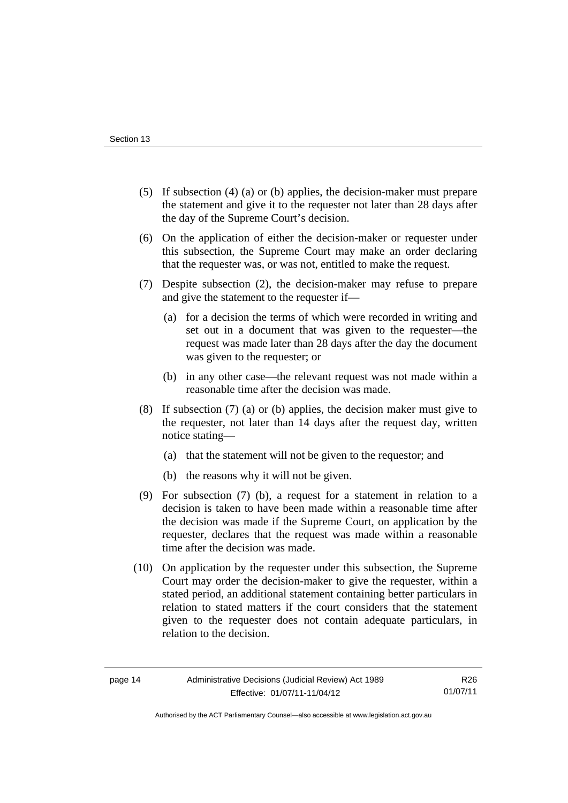- (5) If subsection (4) (a) or (b) applies, the decision-maker must prepare the statement and give it to the requester not later than 28 days after the day of the Supreme Court's decision.
- (6) On the application of either the decision-maker or requester under this subsection, the Supreme Court may make an order declaring that the requester was, or was not, entitled to make the request.
- (7) Despite subsection (2), the decision-maker may refuse to prepare and give the statement to the requester if—
	- (a) for a decision the terms of which were recorded in writing and set out in a document that was given to the requester—the request was made later than 28 days after the day the document was given to the requester; or
	- (b) in any other case—the relevant request was not made within a reasonable time after the decision was made.
- (8) If subsection (7) (a) or (b) applies, the decision maker must give to the requester, not later than 14 days after the request day, written notice stating—
	- (a) that the statement will not be given to the requestor; and
	- (b) the reasons why it will not be given.
- (9) For subsection (7) (b), a request for a statement in relation to a decision is taken to have been made within a reasonable time after the decision was made if the Supreme Court, on application by the requester, declares that the request was made within a reasonable time after the decision was made.
- (10) On application by the requester under this subsection, the Supreme Court may order the decision-maker to give the requester, within a stated period, an additional statement containing better particulars in relation to stated matters if the court considers that the statement given to the requester does not contain adequate particulars, in relation to the decision.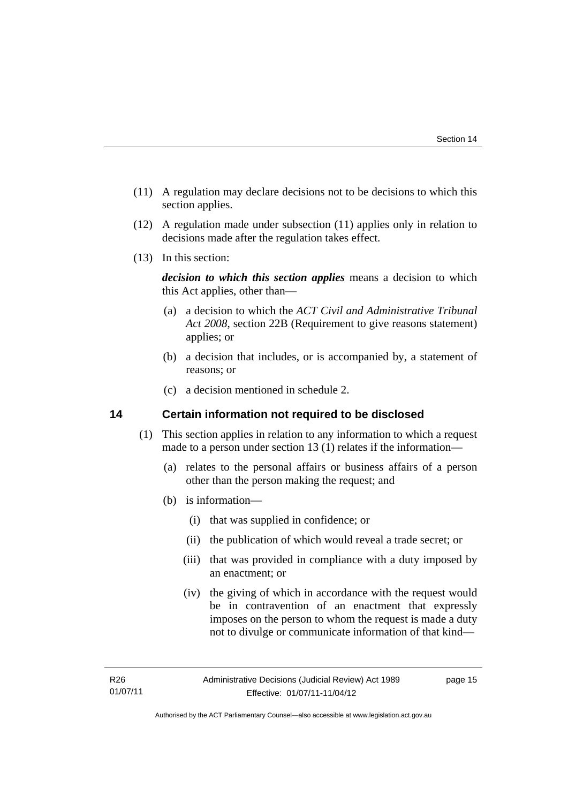- (11) A regulation may declare decisions not to be decisions to which this section applies.
- (12) A regulation made under subsection (11) applies only in relation to decisions made after the regulation takes effect.
- (13) In this section:

*decision to which this section applies* means a decision to which this Act applies, other than—

- (a) a decision to which the *ACT Civil and Administrative Tribunal Act 2008*, section 22B (Requirement to give reasons statement) applies; or
- (b) a decision that includes, or is accompanied by, a statement of reasons; or
- (c) a decision mentioned in schedule 2.

## <span id="page-18-0"></span>**14 Certain information not required to be disclosed**

- (1) This section applies in relation to any information to which a request made to a person under section 13 (1) relates if the information—
	- (a) relates to the personal affairs or business affairs of a person other than the person making the request; and
	- (b) is information—
		- (i) that was supplied in confidence; or
		- (ii) the publication of which would reveal a trade secret; or
		- (iii) that was provided in compliance with a duty imposed by an enactment; or
		- (iv) the giving of which in accordance with the request would be in contravention of an enactment that expressly imposes on the person to whom the request is made a duty not to divulge or communicate information of that kind—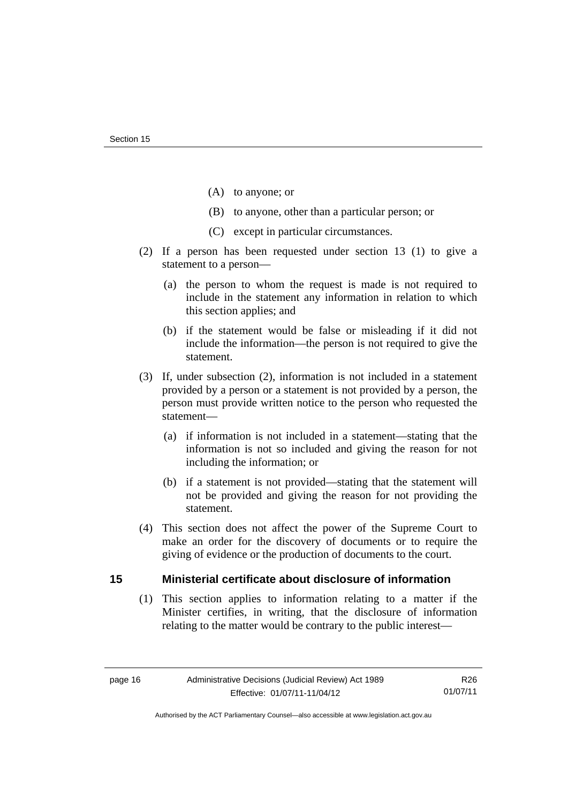- (A) to anyone; or
- (B) to anyone, other than a particular person; or
- (C) except in particular circumstances.
- (2) If a person has been requested under section 13 (1) to give a statement to a person—
	- (a) the person to whom the request is made is not required to include in the statement any information in relation to which this section applies; and
	- (b) if the statement would be false or misleading if it did not include the information—the person is not required to give the statement.
- (3) If, under subsection (2), information is not included in a statement provided by a person or a statement is not provided by a person, the person must provide written notice to the person who requested the statement—
	- (a) if information is not included in a statement—stating that the information is not so included and giving the reason for not including the information; or
	- (b) if a statement is not provided—stating that the statement will not be provided and giving the reason for not providing the statement.
- (4) This section does not affect the power of the Supreme Court to make an order for the discovery of documents or to require the giving of evidence or the production of documents to the court.

## <span id="page-19-0"></span>**15 Ministerial certificate about disclosure of information**

 (1) This section applies to information relating to a matter if the Minister certifies, in writing, that the disclosure of information relating to the matter would be contrary to the public interest—

Authorised by the ACT Parliamentary Counsel—also accessible at www.legislation.act.gov.au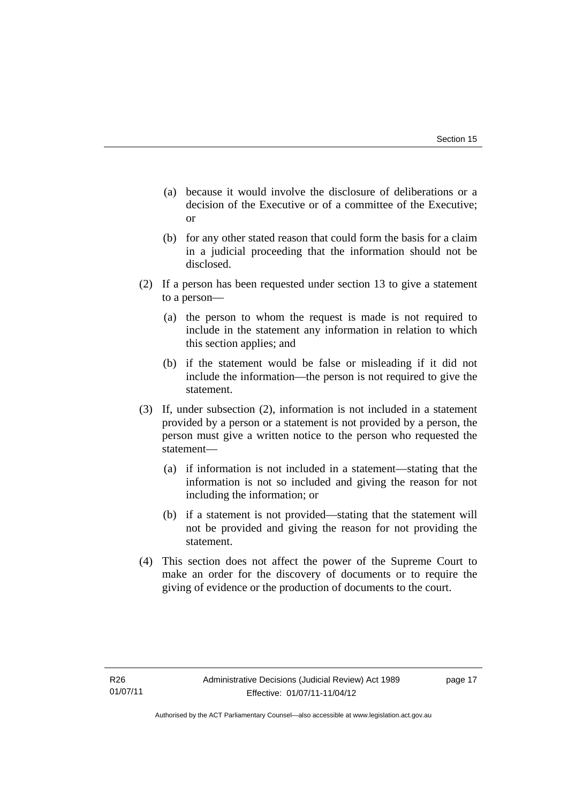- (a) because it would involve the disclosure of deliberations or a decision of the Executive or of a committee of the Executive; or
- (b) for any other stated reason that could form the basis for a claim in a judicial proceeding that the information should not be disclosed.
- (2) If a person has been requested under section 13 to give a statement to a person—
	- (a) the person to whom the request is made is not required to include in the statement any information in relation to which this section applies; and
	- (b) if the statement would be false or misleading if it did not include the information—the person is not required to give the statement.
- (3) If, under subsection (2), information is not included in a statement provided by a person or a statement is not provided by a person, the person must give a written notice to the person who requested the statement—
	- (a) if information is not included in a statement—stating that the information is not so included and giving the reason for not including the information; or
	- (b) if a statement is not provided—stating that the statement will not be provided and giving the reason for not providing the statement.
- (4) This section does not affect the power of the Supreme Court to make an order for the discovery of documents or to require the giving of evidence or the production of documents to the court.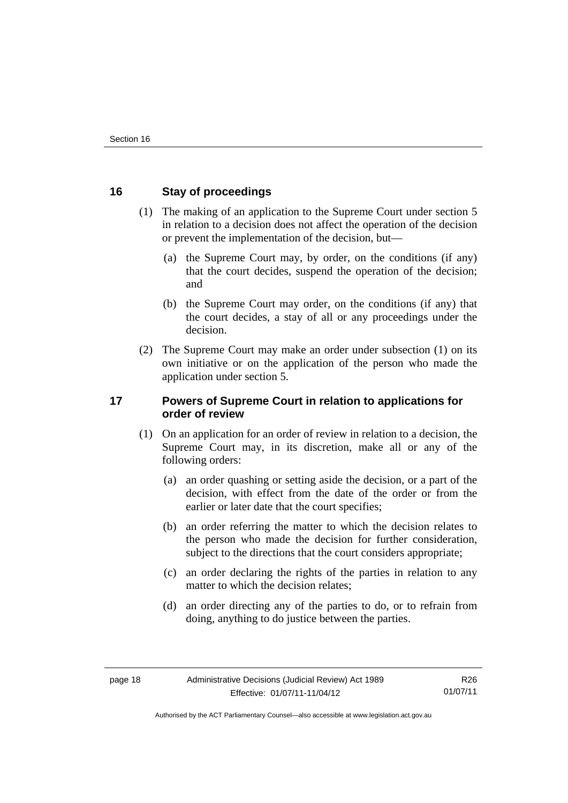## <span id="page-21-0"></span>**16 Stay of proceedings**

- (1) The making of an application to the Supreme Court under section 5 in relation to a decision does not affect the operation of the decision or prevent the implementation of the decision, but—
	- (a) the Supreme Court may, by order, on the conditions (if any) that the court decides, suspend the operation of the decision; and
	- (b) the Supreme Court may order, on the conditions (if any) that the court decides, a stay of all or any proceedings under the decision.
- (2) The Supreme Court may make an order under subsection (1) on its own initiative or on the application of the person who made the application under section 5.

## <span id="page-21-1"></span>**17 Powers of Supreme Court in relation to applications for order of review**

- (1) On an application for an order of review in relation to a decision, the Supreme Court may, in its discretion, make all or any of the following orders:
	- (a) an order quashing or setting aside the decision, or a part of the decision, with effect from the date of the order or from the earlier or later date that the court specifies;
	- (b) an order referring the matter to which the decision relates to the person who made the decision for further consideration, subject to the directions that the court considers appropriate;
	- (c) an order declaring the rights of the parties in relation to any matter to which the decision relates;
	- (d) an order directing any of the parties to do, or to refrain from doing, anything to do justice between the parties.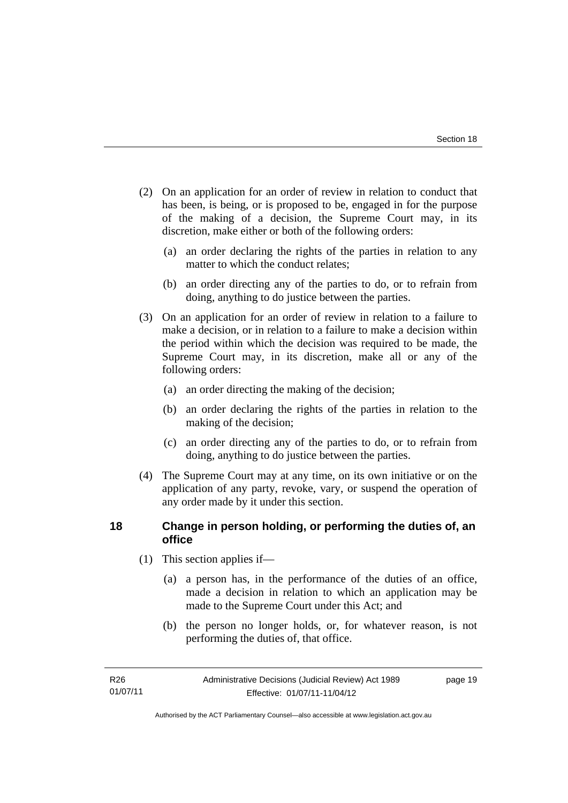- (2) On an application for an order of review in relation to conduct that has been, is being, or is proposed to be, engaged in for the purpose of the making of a decision, the Supreme Court may, in its discretion, make either or both of the following orders:
	- (a) an order declaring the rights of the parties in relation to any matter to which the conduct relates;
	- (b) an order directing any of the parties to do, or to refrain from doing, anything to do justice between the parties.
- (3) On an application for an order of review in relation to a failure to make a decision, or in relation to a failure to make a decision within the period within which the decision was required to be made, the Supreme Court may, in its discretion, make all or any of the following orders:
	- (a) an order directing the making of the decision;
	- (b) an order declaring the rights of the parties in relation to the making of the decision;
	- (c) an order directing any of the parties to do, or to refrain from doing, anything to do justice between the parties.
- (4) The Supreme Court may at any time, on its own initiative or on the application of any party, revoke, vary, or suspend the operation of any order made by it under this section.

## <span id="page-22-0"></span>**18 Change in person holding, or performing the duties of, an office**

- (1) This section applies if—
	- (a) a person has, in the performance of the duties of an office, made a decision in relation to which an application may be made to the Supreme Court under this Act; and
	- (b) the person no longer holds, or, for whatever reason, is not performing the duties of, that office.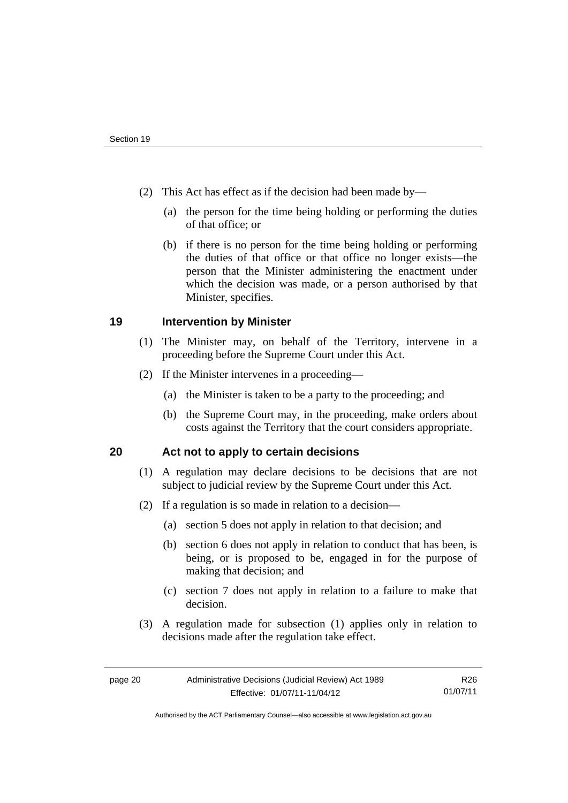- (2) This Act has effect as if the decision had been made by—
	- (a) the person for the time being holding or performing the duties of that office; or
	- (b) if there is no person for the time being holding or performing the duties of that office or that office no longer exists—the person that the Minister administering the enactment under which the decision was made, or a person authorised by that Minister, specifies.

## <span id="page-23-0"></span>**19 Intervention by Minister**

- (1) The Minister may, on behalf of the Territory, intervene in a proceeding before the Supreme Court under this Act.
- (2) If the Minister intervenes in a proceeding—
	- (a) the Minister is taken to be a party to the proceeding; and
	- (b) the Supreme Court may, in the proceeding, make orders about costs against the Territory that the court considers appropriate.

## <span id="page-23-1"></span>**20 Act not to apply to certain decisions**

- (1) A regulation may declare decisions to be decisions that are not subject to judicial review by the Supreme Court under this Act.
- (2) If a regulation is so made in relation to a decision—
	- (a) section 5 does not apply in relation to that decision; and
	- (b) section 6 does not apply in relation to conduct that has been, is being, or is proposed to be, engaged in for the purpose of making that decision; and
	- (c) section 7 does not apply in relation to a failure to make that decision.
- (3) A regulation made for subsection (1) applies only in relation to decisions made after the regulation take effect.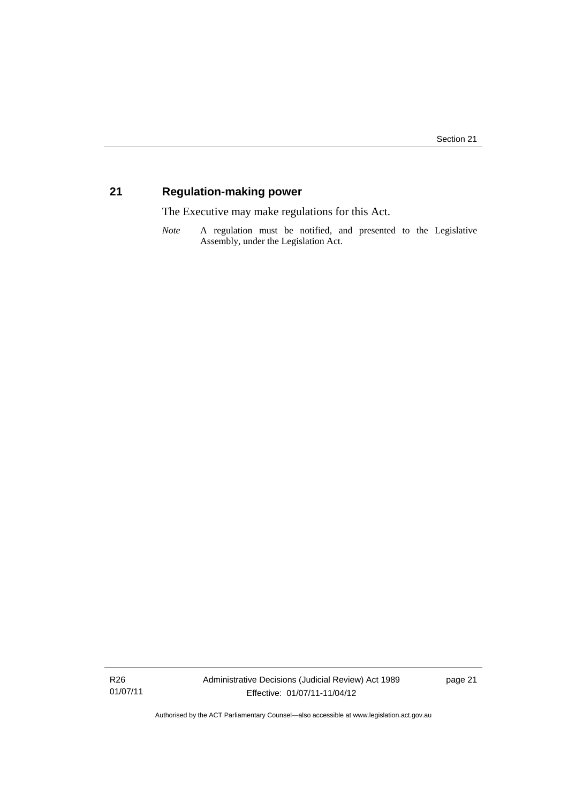## <span id="page-24-0"></span>**21 Regulation-making power**

The Executive may make regulations for this Act.

*Note* A regulation must be notified, and presented to the Legislative Assembly, under the Legislation Act.

R26 01/07/11 Administrative Decisions (Judicial Review) Act 1989 Effective: 01/07/11-11/04/12

page 21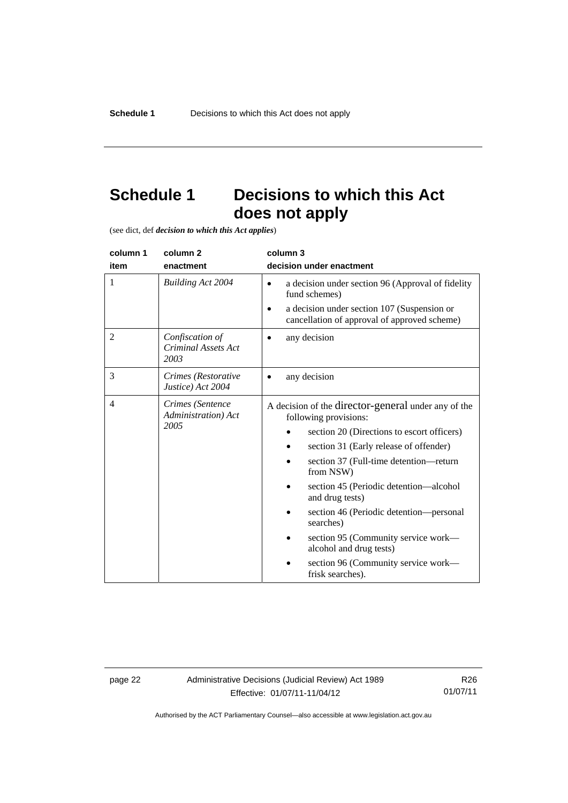## <span id="page-25-0"></span>**Schedule 1 Decisions to which this Act does not apply**

(see dict, def *decision to which this Act applies*)

| column 1<br>item | column 2<br>enactment                           | column 3<br>decision under enactment                                                                                                                                                                                                                                                                                                                                                                                                                                          |
|------------------|-------------------------------------------------|-------------------------------------------------------------------------------------------------------------------------------------------------------------------------------------------------------------------------------------------------------------------------------------------------------------------------------------------------------------------------------------------------------------------------------------------------------------------------------|
| 1                | <b>Building Act 2004</b>                        | a decision under section 96 (Approval of fidelity<br>$\bullet$<br>fund schemes)<br>a decision under section 107 (Suspension or<br>cancellation of approval of approved scheme)                                                                                                                                                                                                                                                                                                |
| 2                | Confiscation of<br>Criminal Assets Act<br>2003  | any decision                                                                                                                                                                                                                                                                                                                                                                                                                                                                  |
| 3                | Crimes (Restorative<br>Justice) Act 2004        | any decision                                                                                                                                                                                                                                                                                                                                                                                                                                                                  |
| $\overline{4}$   | Crimes (Sentence<br>Administration) Act<br>2005 | A decision of the director-general under any of the<br>following provisions:<br>section 20 (Directions to escort officers)<br>section 31 (Early release of offender)<br>section 37 (Full-time detention-return<br>from NSW)<br>section 45 (Periodic detention—alcohol<br>and drug tests)<br>section 46 (Periodic detention—personal<br>searches)<br>section 95 (Community service work—<br>alcohol and drug tests)<br>section 96 (Community service work-<br>frisk searches). |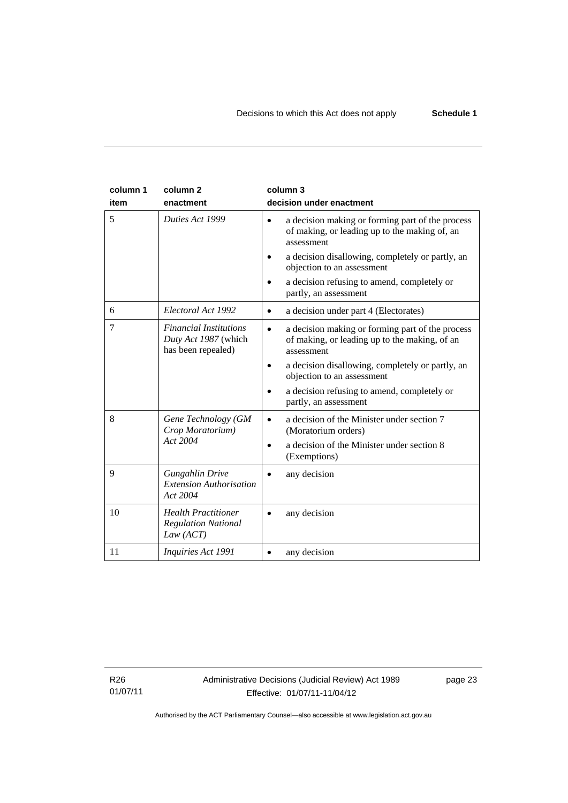| column 1<br>item | column <sub>2</sub><br>enactment                                            | column 3<br>decision under enactment                                                                                         |
|------------------|-----------------------------------------------------------------------------|------------------------------------------------------------------------------------------------------------------------------|
| 5                | Duties Act 1999                                                             | a decision making or forming part of the process<br>$\bullet$<br>of making, or leading up to the making of, an<br>assessment |
|                  |                                                                             | a decision disallowing, completely or partly, an<br>objection to an assessment                                               |
|                  |                                                                             | a decision refusing to amend, completely or<br>partly, an assessment                                                         |
| 6                | Electoral Act 1992                                                          | a decision under part 4 (Electorates)<br>$\bullet$                                                                           |
| 7                | <b>Financial Institutions</b><br>Duty Act 1987 (which<br>has been repealed) | a decision making or forming part of the process<br>$\bullet$<br>of making, or leading up to the making, of an<br>assessment |
|                  |                                                                             | a decision disallowing, completely or partly, an<br>objection to an assessment                                               |
|                  |                                                                             | a decision refusing to amend, completely or<br>partly, an assessment                                                         |
| 8                | Gene Technology (GM<br>Crop Moratorium)                                     | a decision of the Minister under section 7<br>$\bullet$<br>(Moratorium orders)                                               |
|                  | Act 2004                                                                    | a decision of the Minister under section 8<br>$\bullet$<br>(Exemptions)                                                      |
| 9                | <b>Gungahlin Drive</b><br><b>Extension Authorisation</b><br>Act 2004        | any decision                                                                                                                 |
| 10               | <b>Health Practitioner</b><br><b>Regulation National</b><br>Law (ACT)       | any decision                                                                                                                 |
| 11               | Inquiries Act 1991                                                          | any decision                                                                                                                 |

R26 01/07/11 page 23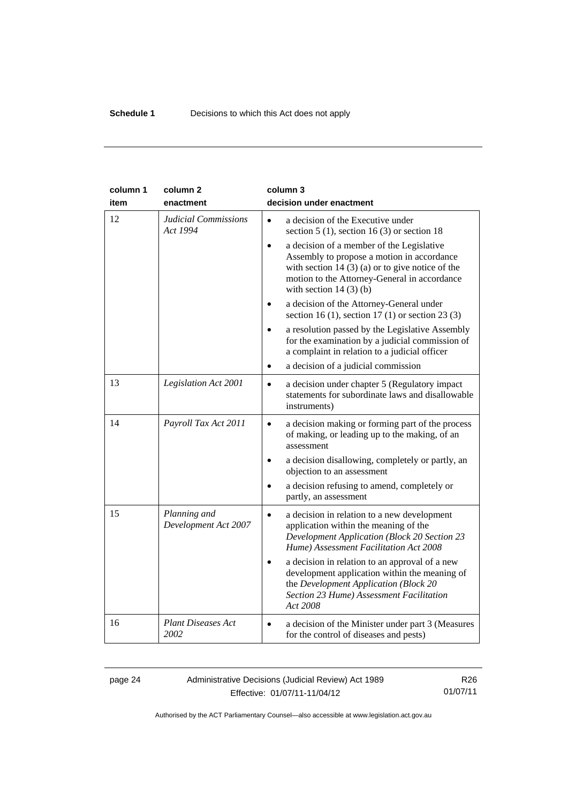| column 1<br>item | column <sub>2</sub><br>enactment        | column 3<br>decision under enactment                                                                                                                                                                                                  |
|------------------|-----------------------------------------|---------------------------------------------------------------------------------------------------------------------------------------------------------------------------------------------------------------------------------------|
| 12               | <b>Judicial Commissions</b><br>Act 1994 | a decision of the Executive under<br>$\bullet$<br>section 5 (1), section 16 (3) or section 18                                                                                                                                         |
|                  |                                         | a decision of a member of the Legislative<br>$\bullet$<br>Assembly to propose a motion in accordance<br>with section 14 $(3)$ (a) or to give notice of the<br>motion to the Attorney-General in accordance<br>with section $14(3)(b)$ |
|                  |                                         | a decision of the Attorney-General under<br>section 16 (1), section 17 (1) or section 23 (3)                                                                                                                                          |
|                  |                                         | a resolution passed by the Legislative Assembly<br>for the examination by a judicial commission of<br>a complaint in relation to a judicial officer                                                                                   |
|                  |                                         | a decision of a judicial commission<br>$\bullet$                                                                                                                                                                                      |
| 13               | Legislation Act 2001                    | a decision under chapter 5 (Regulatory impact<br>$\bullet$<br>statements for subordinate laws and disallowable<br>instruments)                                                                                                        |
| 14               | Payroll Tax Act 2011                    | a decision making or forming part of the process<br>$\bullet$<br>of making, or leading up to the making, of an<br>assessment                                                                                                          |
|                  |                                         | a decision disallowing, completely or partly, an<br>objection to an assessment                                                                                                                                                        |
|                  |                                         | a decision refusing to amend, completely or<br>partly, an assessment                                                                                                                                                                  |
| 15               | Planning and<br>Development Act 2007    | a decision in relation to a new development<br>$\bullet$<br>application within the meaning of the<br><b>Development Application (Block 20 Section 23</b><br>Hume) Assessment Facilitation Act 2008                                    |
|                  |                                         | a decision in relation to an approval of a new<br>development application within the meaning of<br>the Development Application (Block 20<br>Section 23 Hume) Assessment Facilitation<br>Act 2008                                      |
| 16               | <b>Plant Diseases Act</b><br>2002       | a decision of the Minister under part 3 (Measures<br>$\bullet$<br>for the control of diseases and pests)                                                                                                                              |

#### page 24 Administrative Decisions (Judicial Review) Act 1989 Effective: 01/07/11-11/04/12

R26 01/07/11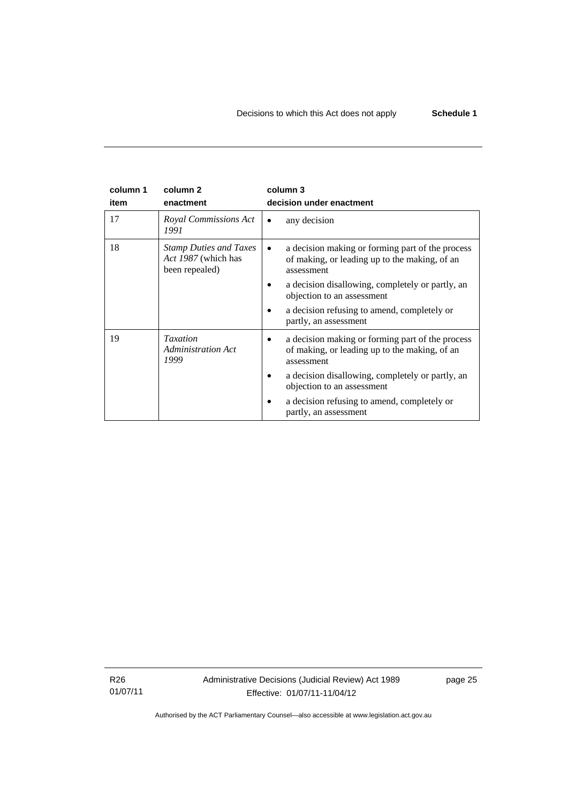| column 1<br>item | column <sub>2</sub><br>enactment                                       | column 3<br>decision under enactment                                                                                         |
|------------------|------------------------------------------------------------------------|------------------------------------------------------------------------------------------------------------------------------|
| 17               | Royal Commissions Act<br>1991                                          | any decision                                                                                                                 |
| 18               | <b>Stamp Duties and Taxes</b><br>Act 1987 (which has<br>been repealed) | a decision making or forming part of the process<br>$\bullet$<br>of making, or leading up to the making, of an<br>assessment |
|                  |                                                                        | a decision disallowing, completely or partly, an<br>objection to an assessment                                               |
|                  |                                                                        | a decision refusing to amend, completely or<br>partly, an assessment                                                         |
| 19               | <b>Taxation</b><br><b>Administration Act</b><br>1999                   | a decision making or forming part of the process<br>٠<br>of making, or leading up to the making, of an<br>assessment         |
|                  |                                                                        | a decision disallowing, completely or partly, an<br>objection to an assessment                                               |
|                  |                                                                        | a decision refusing to amend, completely or<br>partly, an assessment                                                         |

R26 01/07/11 Administrative Decisions (Judicial Review) Act 1989 Effective: 01/07/11-11/04/12

page 25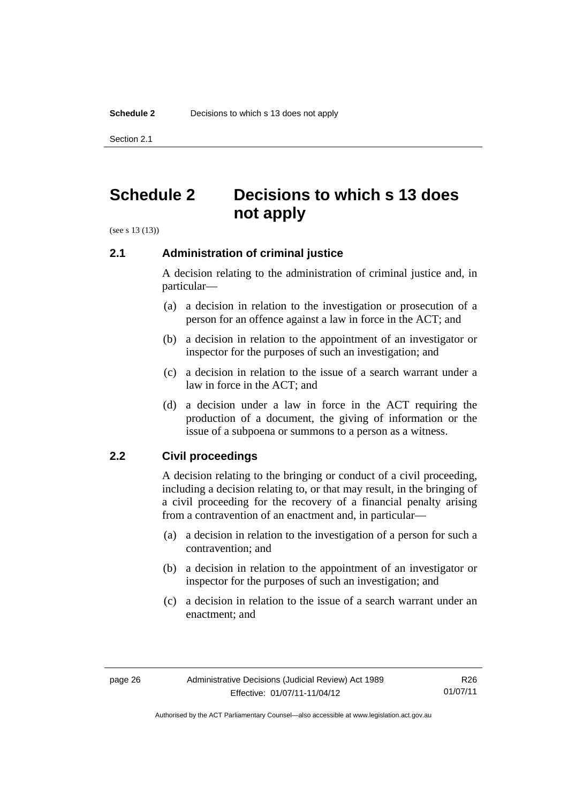Section 2.1

## <span id="page-29-0"></span>**Schedule 2 Decisions to which s 13 does not apply**

(see s 13 (13))

## <span id="page-29-1"></span>**2.1 Administration of criminal justice**

A decision relating to the administration of criminal justice and, in particular—

- (a) a decision in relation to the investigation or prosecution of a person for an offence against a law in force in the ACT; and
- (b) a decision in relation to the appointment of an investigator or inspector for the purposes of such an investigation; and
- (c) a decision in relation to the issue of a search warrant under a law in force in the ACT; and
- (d) a decision under a law in force in the ACT requiring the production of a document, the giving of information or the issue of a subpoena or summons to a person as a witness.

## <span id="page-29-2"></span>**2.2 Civil proceedings**

A decision relating to the bringing or conduct of a civil proceeding, including a decision relating to, or that may result, in the bringing of a civil proceeding for the recovery of a financial penalty arising from a contravention of an enactment and, in particular—

- (a) a decision in relation to the investigation of a person for such a contravention; and
- (b) a decision in relation to the appointment of an investigator or inspector for the purposes of such an investigation; and
- (c) a decision in relation to the issue of a search warrant under an enactment; and

R26 01/07/11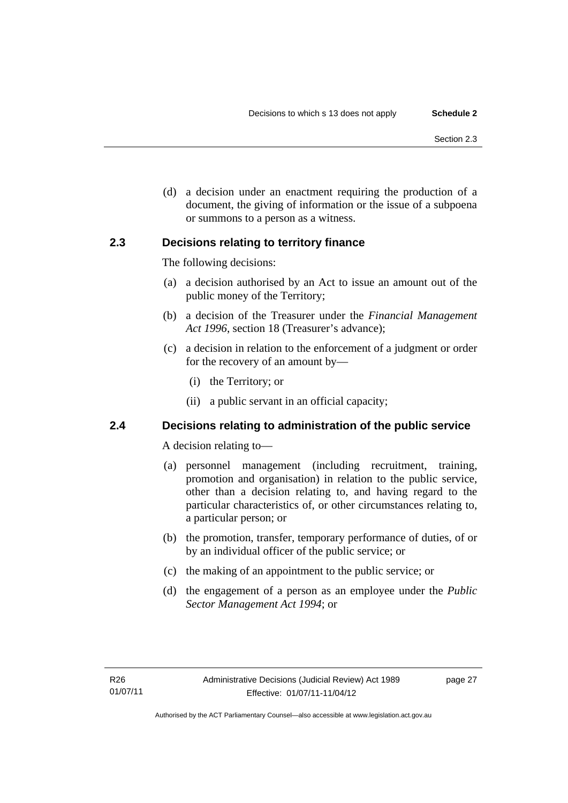(d) a decision under an enactment requiring the production of a document, the giving of information or the issue of a subpoena or summons to a person as a witness.

## <span id="page-30-0"></span>**2.3 Decisions relating to territory finance**

The following decisions:

- (a) a decision authorised by an Act to issue an amount out of the public money of the Territory;
- (b) a decision of the Treasurer under the *Financial Management Act 1996*, section 18 (Treasurer's advance);
- (c) a decision in relation to the enforcement of a judgment or order for the recovery of an amount by—
	- (i) the Territory; or
	- (ii) a public servant in an official capacity;

## <span id="page-30-1"></span>**2.4 Decisions relating to administration of the public service**

A decision relating to—

- (a) personnel management (including recruitment, training, promotion and organisation) in relation to the public service, other than a decision relating to, and having regard to the particular characteristics of, or other circumstances relating to, a particular person; or
- (b) the promotion, transfer, temporary performance of duties, of or by an individual officer of the public service; or
- (c) the making of an appointment to the public service; or
- (d) the engagement of a person as an employee under the *Public Sector Management Act 1994*; or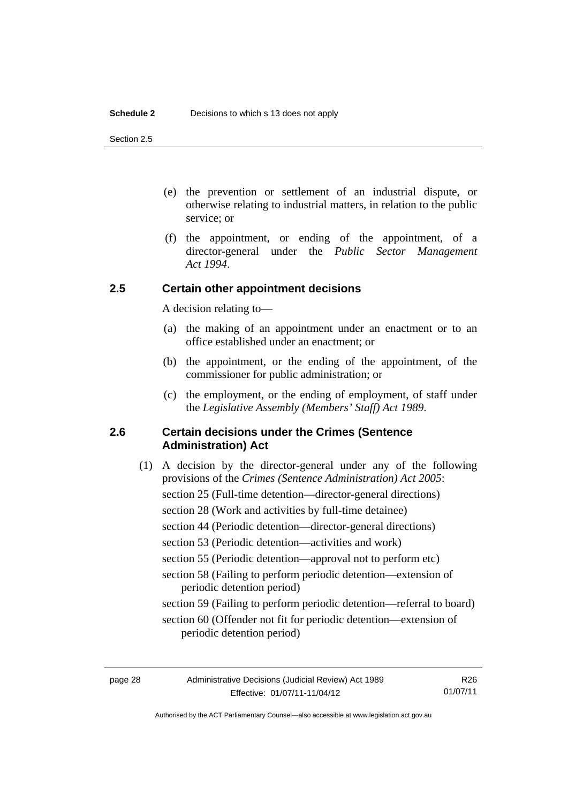Section 2.5

- (e) the prevention or settlement of an industrial dispute, or otherwise relating to industrial matters, in relation to the public service; or
- (f) the appointment, or ending of the appointment, of a director-general under the *Public Sector Management Act 1994*.

## <span id="page-31-0"></span>**2.5 Certain other appointment decisions**

A decision relating to—

- (a) the making of an appointment under an enactment or to an office established under an enactment; or
- (b) the appointment, or the ending of the appointment, of the commissioner for public administration; or
- (c) the employment, or the ending of employment, of staff under the *Legislative Assembly (Members' Staff) Act 1989*.

## <span id="page-31-1"></span>**2.6 Certain decisions under the Crimes (Sentence Administration) Act**

(1) A decision by the director-general under any of the following provisions of the *Crimes (Sentence Administration) Act 2005*: section 25 (Full-time detention—director-general directions) section 28 (Work and activities by full-time detainee) section 44 (Periodic detention—director-general directions) section 53 (Periodic detention—activities and work) section 55 (Periodic detention—approval not to perform etc) section 58 (Failing to perform periodic detention—extension of periodic detention period) section 59 (Failing to perform periodic detention—referral to board) section 60 (Offender not fit for periodic detention—extension of periodic detention period)

R26 01/07/11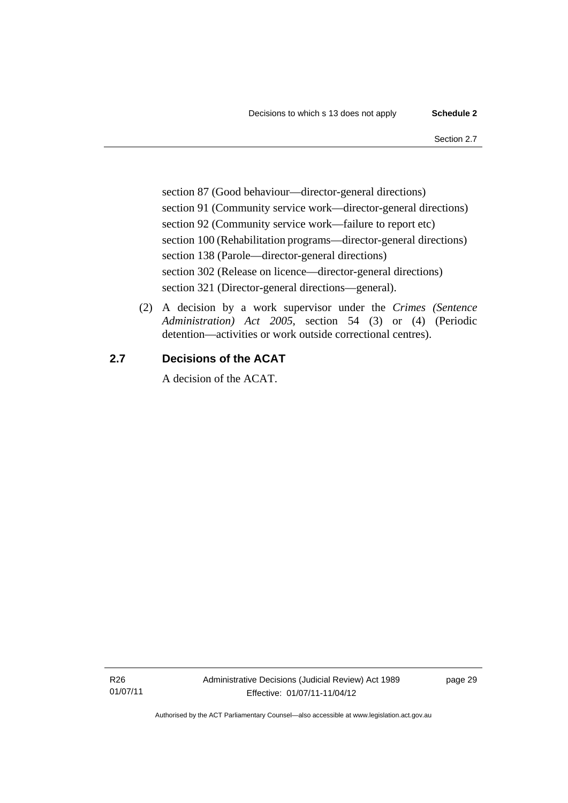section 87 (Good behaviour—director-general directions) section 91 (Community service work—director-general directions) section 92 (Community service work—failure to report etc) section 100 (Rehabilitation programs—director-general directions) section 138 (Parole—director-general directions) section 302 (Release on licence—director-general directions) section 321 (Director-general directions—general).

 (2) A decision by a work supervisor under the *Crimes (Sentence Administration) Act 2005*, section 54 (3) or (4) (Periodic detention—activities or work outside correctional centres).

## <span id="page-32-0"></span>**2.7 Decisions of the ACAT**

A decision of the ACAT.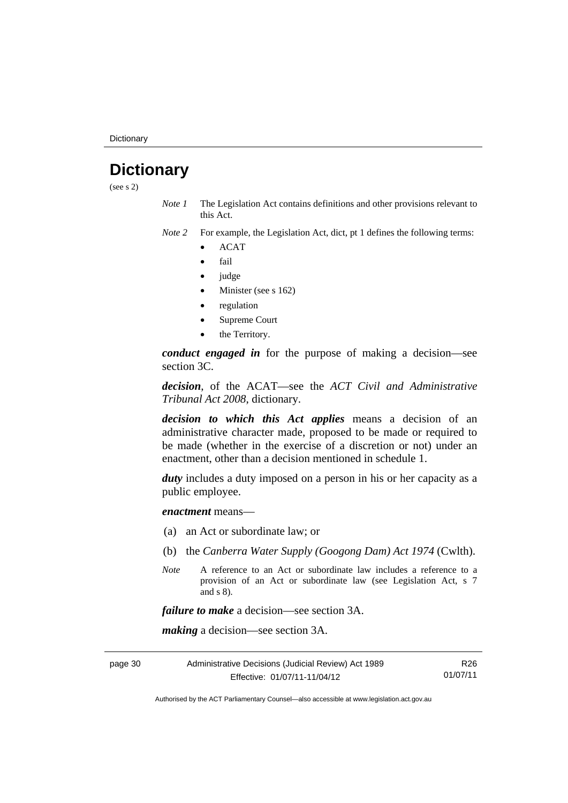**Dictionary** 

## <span id="page-33-0"></span>**Dictionary**

(see s 2)

*Note 1* The Legislation Act contains definitions and other provisions relevant to this Act.

*Note 2* For example, the Legislation Act, dict, pt 1 defines the following terms:

- ACAT
- fail
- judge
- Minister (see s 162)
- regulation
- Supreme Court
- the Territory.

*conduct engaged in* for the purpose of making a decision—see section 3C.

*decision*, of the ACAT—see the *ACT Civil and Administrative Tribunal Act 2008*, dictionary.

*decision to which this Act applies* means a decision of an administrative character made, proposed to be made or required to be made (whether in the exercise of a discretion or not) under an enactment, other than a decision mentioned in schedule 1.

*duty* includes a duty imposed on a person in his or her capacity as a public employee.

*enactment* means—

- (a) an Act or subordinate law; or
- (b) the *Canberra Water Supply (Googong Dam) Act 1974* (Cwlth).
- *Note* A reference to an Act or subordinate law includes a reference to a provision of an Act or subordinate law (see Legislation Act, s 7 and s 8).

*failure to make* a decision—see section 3A.

*making* a decision—see section 3A.

page 30 Administrative Decisions (Judicial Review) Act 1989 Effective: 01/07/11-11/04/12 R26 01/07/11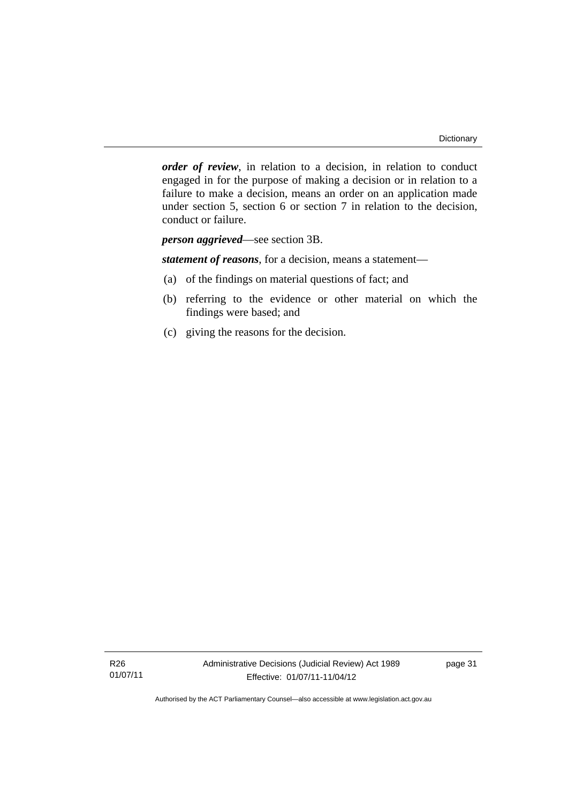*order of review*, in relation to a decision, in relation to conduct engaged in for the purpose of making a decision or in relation to a failure to make a decision, means an order on an application made under section 5, section 6 or section 7 in relation to the decision, conduct or failure.

*person aggrieved*—see section 3B.

*statement of reasons*, for a decision, means a statement—

- (a) of the findings on material questions of fact; and
- (b) referring to the evidence or other material on which the findings were based; and
- (c) giving the reasons for the decision.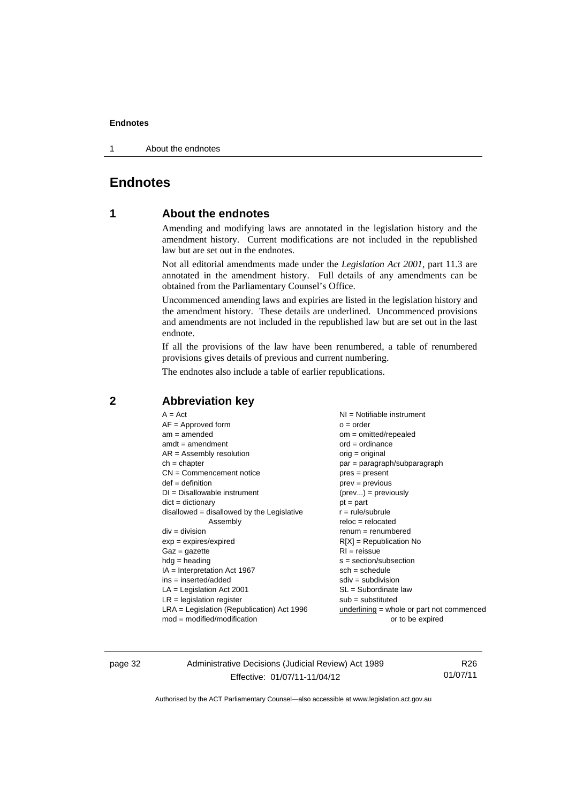1 About the endnotes

## <span id="page-35-0"></span>**Endnotes**

## **1 About the endnotes**

Amending and modifying laws are annotated in the legislation history and the amendment history. Current modifications are not included in the republished law but are set out in the endnotes.

Not all editorial amendments made under the *Legislation Act 2001*, part 11.3 are annotated in the amendment history. Full details of any amendments can be obtained from the Parliamentary Counsel's Office.

Uncommenced amending laws and expiries are listed in the legislation history and the amendment history. These details are underlined. Uncommenced provisions and amendments are not included in the republished law but are set out in the last endnote.

If all the provisions of the law have been renumbered, a table of renumbered provisions gives details of previous and current numbering.

The endnotes also include a table of earlier republications.

| $A = Act$                                    | NI = Notifiable instrument                  |
|----------------------------------------------|---------------------------------------------|
| $AF =$ Approved form                         | $o = order$                                 |
| $am = amended$                               | om = omitted/repealed                       |
| $amdt = amendment$                           | $ord = ordinance$                           |
| $AR = Assembly resolution$                   | orig = original                             |
| $ch = chapter$                               | par = paragraph/subparagraph                |
| $CN =$ Commencement notice                   | $pres = present$                            |
| $def = definition$                           | $prev = previous$                           |
| $DI = Disallowable instrument$               | $(\text{prev}) = \text{previously}$         |
| $dict = dictionary$                          | $pt = part$                                 |
| $disallowed = disallowed by the Legislative$ | $r = rule/subrule$                          |
| Assembly                                     | $reloc = relocated$                         |
| $div = division$                             | $renum = renumbered$                        |
| $exp = expires/expired$                      | $R[X]$ = Republication No                   |
| $Gaz = gazette$                              | $RI = reissue$                              |
| $hdg = heading$                              | $s = section/subsection$                    |
| $IA = Interpretation Act 1967$               | $sch = schedule$                            |
| $ins = inserted/added$                       | $sdiv = subdivision$                        |
| $LA =$ Legislation Act 2001                  | SL = Subordinate law                        |
| $LR =$ legislation register                  | $sub =$ substituted                         |
| $LRA =$ Legislation (Republication) Act 1996 | $underlining = whole or part not commenced$ |
| $mod = modified/modification$                | or to be expired                            |
|                                              |                                             |

## <span id="page-35-2"></span>**2 Abbreviation key**

page 32 Administrative Decisions (Judicial Review) Act 1989 Effective: 01/07/11-11/04/12

R26 01/07/11

<span id="page-35-1"></span>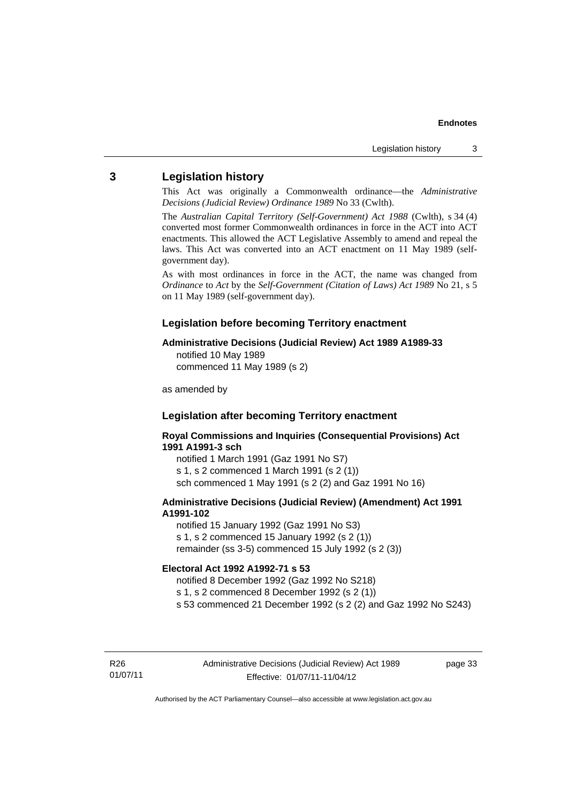#### <span id="page-36-0"></span>**3 Legislation history**

This Act was originally a Commonwealth ordinance—the *Administrative Decisions (Judicial Review) Ordinance 1989* No 33 (Cwlth).

The *Australian Capital Territory (Self-Government) Act 1988* (Cwlth), s 34 (4) converted most former Commonwealth ordinances in force in the ACT into ACT enactments. This allowed the ACT Legislative Assembly to amend and repeal the laws. This Act was converted into an ACT enactment on 11 May 1989 (selfgovernment day).

As with most ordinances in force in the ACT, the name was changed from *Ordinance* to *Act* by the *Self-Government (Citation of Laws) Act 1989* No 21, s 5 on 11 May 1989 (self-government day).

#### **Legislation before becoming Territory enactment**

#### **Administrative Decisions (Judicial Review) Act 1989 A1989-33**

notified 10 May 1989 commenced 11 May 1989 (s 2)

as amended by

## **Legislation after becoming Territory enactment**

#### **Royal Commissions and Inquiries (Consequential Provisions) Act 1991 A1991-3 sch**

notified 1 March 1991 (Gaz 1991 No S7) s 1, s 2 commenced 1 March 1991 (s 2 (1)) sch commenced 1 May 1991 (s 2 (2) and Gaz 1991 No 16)

#### **Administrative Decisions (Judicial Review) (Amendment) Act 1991 A1991-102**

notified 15 January 1992 (Gaz 1991 No S3) s 1, s 2 commenced 15 January 1992 (s 2 (1)) remainder (ss 3-5) commenced 15 July 1992 (s 2 (3))

#### **Electoral Act 1992 A1992-71 s 53**

notified 8 December 1992 (Gaz 1992 No S218) s 1, s 2 commenced 8 December 1992 (s 2 (1)) s 53 commenced 21 December 1992 (s 2 (2) and Gaz 1992 No S243)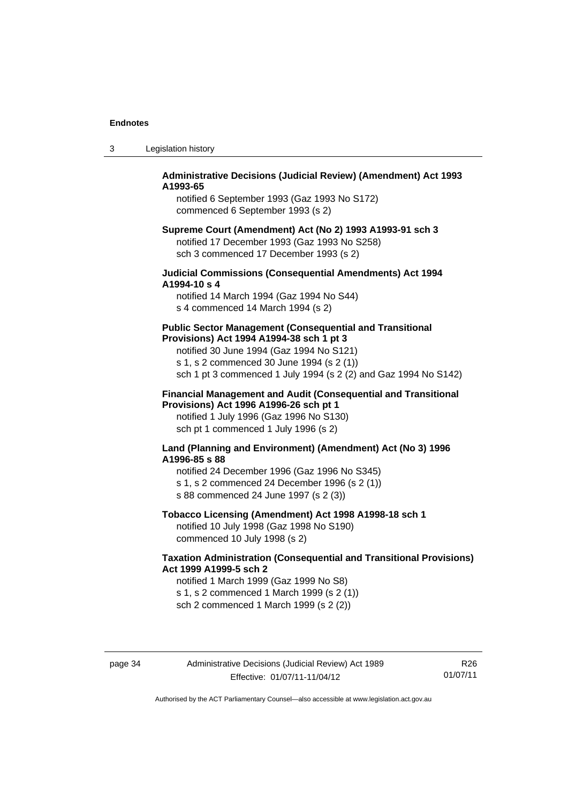| -3 | Legislation history |  |
|----|---------------------|--|
|----|---------------------|--|

#### **Administrative Decisions (Judicial Review) (Amendment) Act 1993 A1993-65**

notified 6 September 1993 (Gaz 1993 No S172) commenced 6 September 1993 (s 2)

#### **Supreme Court (Amendment) Act (No 2) 1993 A1993-91 sch 3**  notified 17 December 1993 (Gaz 1993 No S258) sch 3 commenced 17 December 1993 (s 2)

#### **Judicial Commissions (Consequential Amendments) Act 1994 A1994-10 s 4**

notified 14 March 1994 (Gaz 1994 No S44) s 4 commenced 14 March 1994 (s 2)

#### **Public Sector Management (Consequential and Transitional Provisions) Act 1994 A1994-38 sch 1 pt 3**

notified 30 June 1994 (Gaz 1994 No S121) s 1, s 2 commenced 30 June 1994 (s 2 (1)) sch 1 pt 3 commenced 1 July 1994 (s 2 (2) and Gaz 1994 No S142)

#### **Financial Management and Audit (Consequential and Transitional Provisions) Act 1996 A1996-26 sch pt 1**

notified 1 July 1996 (Gaz 1996 No S130) sch pt 1 commenced 1 July 1996 (s 2)

#### **Land (Planning and Environment) (Amendment) Act (No 3) 1996 A1996-85 s 88**

notified 24 December 1996 (Gaz 1996 No S345) s 1, s 2 commenced 24 December 1996 (s 2 (1)) s 88 commenced 24 June 1997 (s 2 (3))

### **Tobacco Licensing (Amendment) Act 1998 A1998-18 sch 1**

notified 10 July 1998 (Gaz 1998 No S190) commenced 10 July 1998 (s 2)

### **Taxation Administration (Consequential and Transitional Provisions) Act 1999 A1999-5 sch 2**

notified 1 March 1999 (Gaz 1999 No S8) s 1, s 2 commenced 1 March 1999 (s 2 (1)) sch 2 commenced 1 March 1999 (s 2 (2))

R26 01/07/11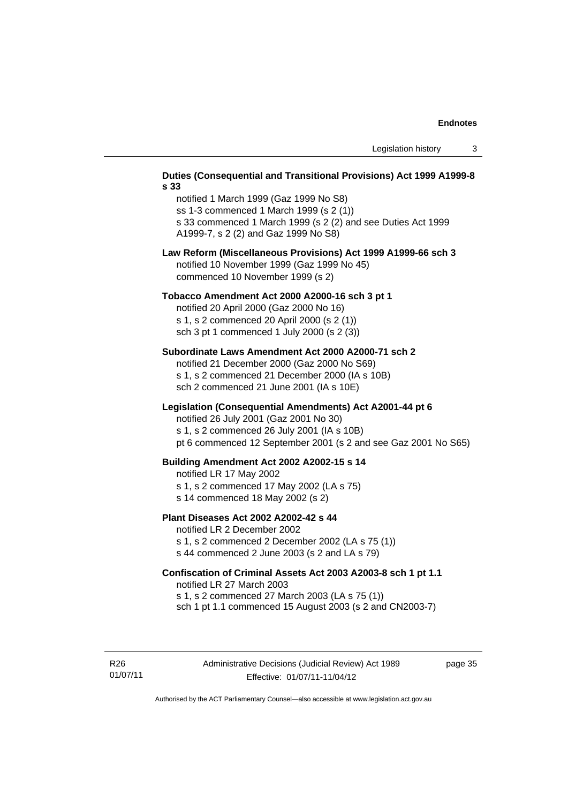#### **Duties (Consequential and Transitional Provisions) Act 1999 A1999-8 s 33**

notified 1 March 1999 (Gaz 1999 No S8) ss 1-3 commenced 1 March 1999 (s 2 (1)) s 33 commenced 1 March 1999 (s 2 (2) and see Duties Act 1999 A1999-7, s 2 (2) and Gaz 1999 No S8)

#### **Law Reform (Miscellaneous Provisions) Act 1999 A1999-66 sch 3**  notified 10 November 1999 (Gaz 1999 No 45) commenced 10 November 1999 (s 2)

#### **Tobacco Amendment Act 2000 A2000-16 sch 3 pt 1**

notified 20 April 2000 (Gaz 2000 No 16) s 1, s 2 commenced 20 April 2000 (s 2 (1)) sch 3 pt 1 commenced 1 July 2000 (s 2 (3))

#### **Subordinate Laws Amendment Act 2000 A2000-71 sch 2**

notified 21 December 2000 (Gaz 2000 No S69) s 1, s 2 commenced 21 December 2000 (IA s 10B) sch 2 commenced 21 June 2001 (IA s 10E)

#### **Legislation (Consequential Amendments) Act A2001-44 pt 6**

notified 26 July 2001 (Gaz 2001 No 30)

s 1, s 2 commenced 26 July 2001 (IA s 10B)

pt 6 commenced 12 September 2001 (s 2 and see Gaz 2001 No S65)

#### **Building Amendment Act 2002 A2002-15 s 14**

notified LR 17 May 2002

- s 1, s 2 commenced 17 May 2002 (LA s 75)
- s 14 commenced 18 May 2002 (s 2)

#### **Plant Diseases Act 2002 A2002-42 s 44**

notified LR 2 December 2002

s 1, s 2 commenced 2 December 2002 (LA s 75 (1)) s 44 commenced 2 June 2003 (s 2 and LA s 79)

## **Confiscation of Criminal Assets Act 2003 A2003-8 sch 1 pt 1.1**  notified LR 27 March 2003 s 1, s 2 commenced 27 March 2003 (LA s 75 (1))

sch 1 pt 1.1 commenced 15 August 2003 (s 2 and CN2003-7)

R26 01/07/11 page 35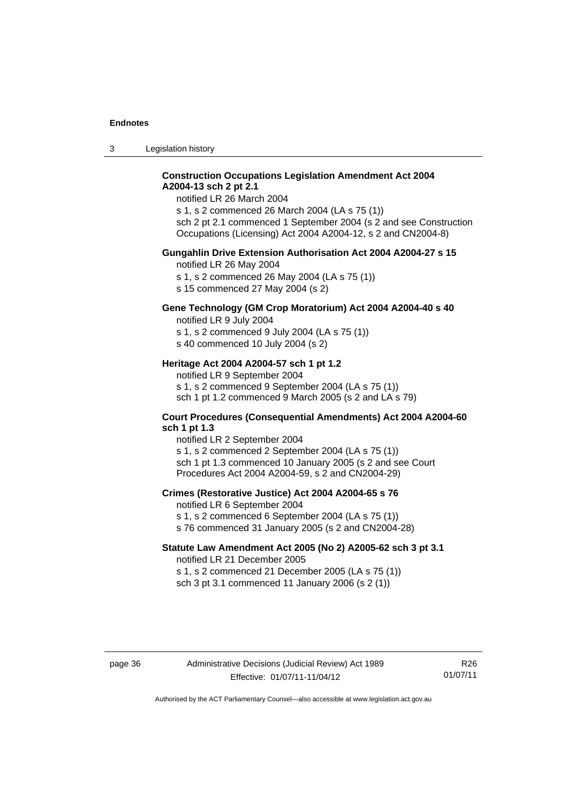3 Legislation history

#### **Construction Occupations Legislation Amendment Act 2004 A2004-13 sch 2 pt 2.1**

notified LR 26 March 2004

s 1, s 2 commenced 26 March 2004 (LA s 75 (1)) sch 2 pt 2.1 commenced 1 September 2004 (s 2 and see Construction Occupations (Licensing) Act 2004 A2004-12, s 2 and CN2004-8)

#### **Gungahlin Drive Extension Authorisation Act 2004 A2004-27 s 15**

notified LR 26 May 2004

s 1, s 2 commenced 26 May 2004 (LA s 75 (1))

s 15 commenced 27 May 2004 (s 2)

## **Gene Technology (GM Crop Moratorium) Act 2004 A2004-40 s 40**

notified LR 9 July 2004

s 1, s 2 commenced 9 July 2004 (LA s 75 (1)) s 40 commenced 10 July 2004 (s 2)

#### **Heritage Act 2004 A2004-57 sch 1 pt 1.2**

notified LR 9 September 2004 s 1, s 2 commenced 9 September 2004 (LA s 75 (1)) sch 1 pt 1.2 commenced 9 March 2005 (s 2 and LA s 79)

#### **Court Procedures (Consequential Amendments) Act 2004 A2004-60 sch 1 pt 1.3**

notified LR 2 September 2004 s 1, s 2 commenced 2 September 2004 (LA s 75 (1)) sch 1 pt 1.3 commenced 10 January 2005 (s 2 and see Court Procedures Act 2004 A2004-59, s 2 and CN2004-29)

#### **Crimes (Restorative Justice) Act 2004 A2004-65 s 76**

notified LR 6 September 2004

- s 1, s 2 commenced 6 September 2004 (LA s 75 (1))
- s 76 commenced 31 January 2005 (s 2 and CN2004-28)

## **Statute Law Amendment Act 2005 (No 2) A2005-62 sch 3 pt 3.1**

notified LR 21 December 2005

s 1, s 2 commenced 21 December 2005 (LA s 75 (1)) sch 3 pt 3.1 commenced 11 January 2006 (s 2 (1))

#### page 36 Administrative Decisions (Judicial Review) Act 1989 Effective: 01/07/11-11/04/12

R26 01/07/11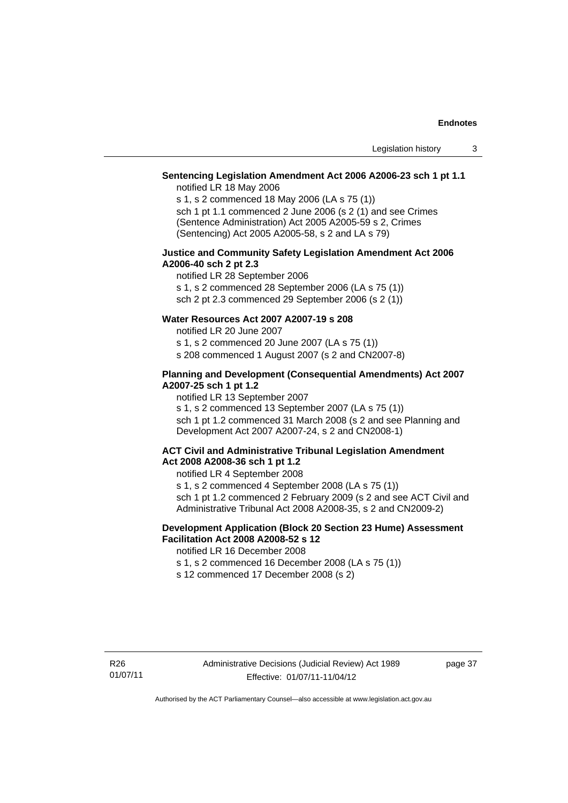#### **Sentencing Legislation Amendment Act 2006 A2006-23 sch 1 pt 1.1**

notified LR 18 May 2006

s 1, s 2 commenced 18 May 2006 (LA s 75 (1)) sch 1 pt 1.1 commenced 2 June 2006 (s 2 (1) and see Crimes (Sentence Administration) Act 2005 A2005-59 s 2, Crimes (Sentencing) Act 2005 A2005-58, s 2 and LA s 79)

#### **Justice and Community Safety Legislation Amendment Act 2006 A2006-40 sch 2 pt 2.3**

notified LR 28 September 2006 s 1, s 2 commenced 28 September 2006 (LA s 75 (1)) sch 2 pt 2.3 commenced 29 September 2006 (s 2 (1))

#### **Water Resources Act 2007 A2007-19 s 208**

notified LR 20 June 2007

s 1, s 2 commenced 20 June 2007 (LA s 75 (1))

s 208 commenced 1 August 2007 (s 2 and CN2007-8)

#### **Planning and Development (Consequential Amendments) Act 2007 A2007-25 sch 1 pt 1.2**

notified LR 13 September 2007

s 1, s 2 commenced 13 September 2007 (LA s 75 (1)) sch 1 pt 1.2 commenced 31 March 2008 (s 2 and see Planning and Development Act 2007 A2007-24, s 2 and CN2008-1)

#### **ACT Civil and Administrative Tribunal Legislation Amendment Act 2008 A2008-36 sch 1 pt 1.2**

notified LR 4 September 2008

s 1, s 2 commenced 4 September 2008 (LA s 75 (1)) sch 1 pt 1.2 commenced 2 February 2009 (s 2 and see ACT Civil and

Administrative Tribunal Act 2008 A2008-35, s 2 and CN2009-2)

#### **Development Application (Block 20 Section 23 Hume) Assessment Facilitation Act 2008 A2008-52 s 12**

notified LR 16 December 2008

s 1, s 2 commenced 16 December 2008 (LA s 75 (1))

s 12 commenced 17 December 2008 (s 2)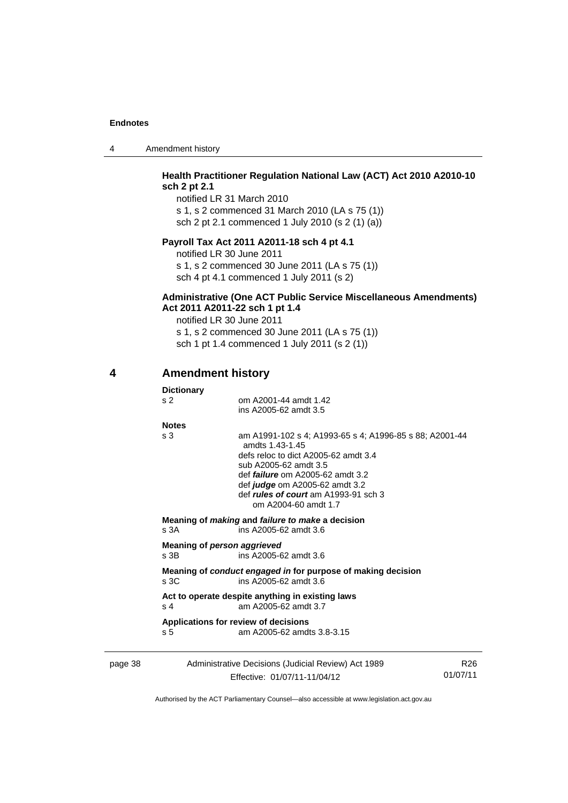| 4 | Amendment history |
|---|-------------------|
|---|-------------------|

### **Health Practitioner Regulation National Law (ACT) Act 2010 A2010-10 sch 2 pt 2.1**

notified LR 31 March 2010 s 1, s 2 commenced 31 March 2010 (LA s 75 (1)) sch 2 pt 2.1 commenced 1 July 2010 (s 2 (1) (a))

## **Payroll Tax Act 2011 A2011-18 sch 4 pt 4.1**

notified LR 30 June 2011 s 1, s 2 commenced 30 June 2011 (LA s 75 (1)) sch 4 pt 4.1 commenced 1 July 2011 (s 2)

#### **Administrative (One ACT Public Service Miscellaneous Amendments) Act 2011 A2011-22 sch 1 pt 1.4**

notified LR 30 June 2011 s 1, s 2 commenced 30 June 2011 (LA s 75 (1)) sch 1 pt 1.4 commenced 1 July 2011 (s 2 (1))

### <span id="page-41-0"></span>**4 Amendment history**

|         | <b>Dictionary</b> |                                                                                                                                                                                                                                                                                          |                 |
|---------|-------------------|------------------------------------------------------------------------------------------------------------------------------------------------------------------------------------------------------------------------------------------------------------------------------------------|-----------------|
|         | s <sub>2</sub>    | om A2001-44 amdt 1.42<br>ins A2005-62 amdt 3.5                                                                                                                                                                                                                                           |                 |
|         | <b>Notes</b>      |                                                                                                                                                                                                                                                                                          |                 |
|         | s <sub>3</sub>    | am A1991-102 s 4; A1993-65 s 4; A1996-85 s 88; A2001-44<br>amdts 1.43-1.45<br>defs reloc to dict A2005-62 amdt 3.4<br>sub A2005-62 amdt 3.5<br>def <i>failure</i> om A2005-62 amdt 3.2<br>def judge om A2005-62 amdt 3.2<br>def rules of court am A1993-91 sch 3<br>om A2004-60 amdt 1.7 |                 |
|         | s.3A              | Meaning of making and failure to make a decision<br>ins A2005-62 amdt 3.6                                                                                                                                                                                                                |                 |
|         | $s$ 3B            | Meaning of person aggrieved<br>ins A2005-62 amdt 3.6                                                                                                                                                                                                                                     |                 |
|         | s <sub>3C</sub>   | Meaning of conduct engaged in for purpose of making decision<br>ins A2005-62 amdt 3.6                                                                                                                                                                                                    |                 |
|         | s <sub>4</sub>    | Act to operate despite anything in existing laws<br>am A2005-62 amdt 3.7                                                                                                                                                                                                                 |                 |
|         | s <sub>5</sub>    | Applications for review of decisions<br>am A2005-62 amdts 3.8-3.15                                                                                                                                                                                                                       |                 |
| page 38 |                   | Administrative Decisions (Judicial Review) Act 1989                                                                                                                                                                                                                                      | R <sub>26</sub> |

Effective: 01/07/11-11/04/12

01/07/11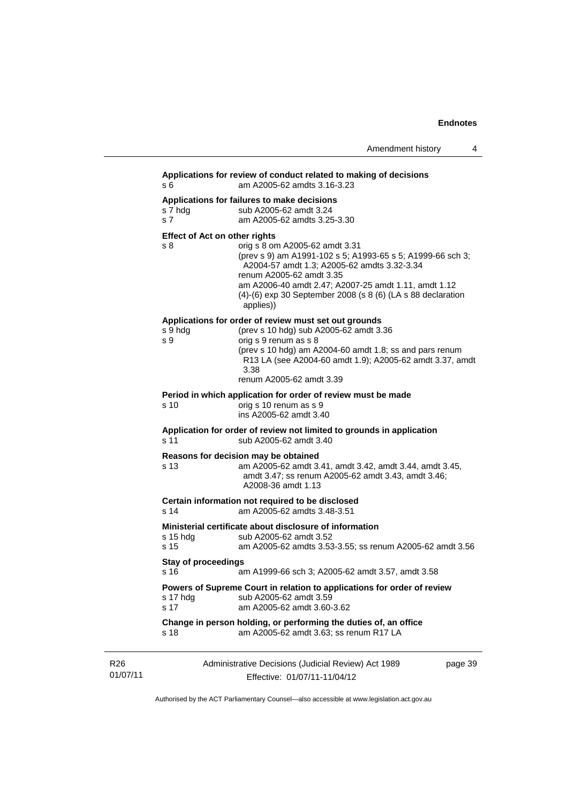|                             |                                             |                                                                                                                                                                                                                                                                                                                 | Amendment history | 4       |
|-----------------------------|---------------------------------------------|-----------------------------------------------------------------------------------------------------------------------------------------------------------------------------------------------------------------------------------------------------------------------------------------------------------------|-------------------|---------|
|                             | s 6                                         | Applications for review of conduct related to making of decisions<br>am A2005-62 amdts 3.16-3.23                                                                                                                                                                                                                |                   |         |
|                             | s 7 hdg<br>s 7                              | Applications for failures to make decisions<br>sub A2005-62 amdt 3.24<br>am A2005-62 amdts 3.25-3.30                                                                                                                                                                                                            |                   |         |
|                             | <b>Effect of Act on other rights</b><br>s 8 | orig s 8 om A2005-62 amdt 3.31<br>(prev s 9) am A1991-102 s 5; A1993-65 s 5; A1999-66 sch 3;<br>A2004-57 amdt 1.3; A2005-62 amdts 3.32-3.34<br>renum A2005-62 amdt 3.35<br>am A2006-40 amdt 2.47; A2007-25 amdt 1.11, amdt 1.12<br>$(4)-(6)$ exp 30 September 2008 (s 8 $(6)$ (LA s 88 declaration<br>applies)) |                   |         |
|                             | s 9 hdg<br>s 9                              | Applications for order of review must set out grounds<br>(prev s 10 hdg) sub A2005-62 amdt 3.36<br>orig s 9 renum as s 8<br>(prev s 10 hdg) am A2004-60 amdt 1.8; ss and pars renum<br>R13 LA (see A2004-60 amdt 1.9); A2005-62 amdt 3.37, amdt<br>3.38<br>renum A2005-62 amdt 3.39                             |                   |         |
|                             | s 10                                        | Period in which application for order of review must be made<br>orig s 10 renum as s 9<br>ins A2005-62 amdt 3.40                                                                                                                                                                                                |                   |         |
|                             | s 11                                        | Application for order of review not limited to grounds in application<br>sub A2005-62 amdt 3.40                                                                                                                                                                                                                 |                   |         |
|                             | s 13                                        | Reasons for decision may be obtained<br>am A2005-62 amdt 3.41, amdt 3.42, amdt 3.44, amdt 3.45,<br>amdt 3.47; ss renum A2005-62 amdt 3.43, amdt 3.46;<br>A2008-36 amdt 1.13                                                                                                                                     |                   |         |
|                             | s 14                                        | Certain information not required to be disclosed<br>am A2005-62 amdts 3.48-3.51                                                                                                                                                                                                                                 |                   |         |
|                             | $s$ 15 hdg<br>s 15                          | Ministerial certificate about disclosure of information<br>sub A2005-62 amdt 3.52<br>am A2005-62 amdts 3.53-3.55; ss renum A2005-62 amdt 3.56                                                                                                                                                                   |                   |         |
|                             | <b>Stay of proceedings</b><br>s 16 —        | am A1999-66 sch 3; A2005-62 amdt 3.57, amdt 3.58                                                                                                                                                                                                                                                                |                   |         |
|                             | s 17 hdg<br>s 17                            | Powers of Supreme Court in relation to applications for order of review<br>sub A2005-62 amdt 3.59<br>am A2005-62 amdt 3.60-3.62                                                                                                                                                                                 |                   |         |
|                             | s 18                                        | Change in person holding, or performing the duties of, an office<br>am A2005-62 amdt 3.63; ss renum R17 LA                                                                                                                                                                                                      |                   |         |
| R <sub>26</sub><br>01/07/11 |                                             | Administrative Decisions (Judicial Review) Act 1989<br>Effective: 01/07/11-11/04/12                                                                                                                                                                                                                             |                   | page 39 |

Authorised by the ACT Parliamentary Counsel—also accessible at www.legislation.act.gov.au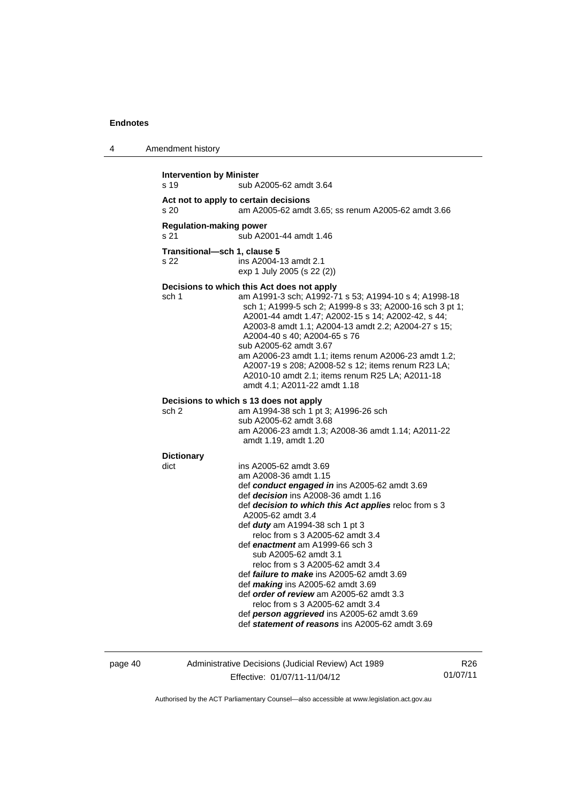| 4 | Amendment history |  |
|---|-------------------|--|
|---|-------------------|--|

| <b>Intervention by Minister</b><br>sub A2005-62 amdt 3.64<br>s 19 |                                                                                                                                                                                                                                                                                                                                                                                                                                                                                                                                                                                                                                                                                        |  |
|-------------------------------------------------------------------|----------------------------------------------------------------------------------------------------------------------------------------------------------------------------------------------------------------------------------------------------------------------------------------------------------------------------------------------------------------------------------------------------------------------------------------------------------------------------------------------------------------------------------------------------------------------------------------------------------------------------------------------------------------------------------------|--|
|                                                                   |                                                                                                                                                                                                                                                                                                                                                                                                                                                                                                                                                                                                                                                                                        |  |
| s 20                                                              | Act not to apply to certain decisions<br>am A2005-62 amdt 3.65; ss renum A2005-62 amdt 3.66                                                                                                                                                                                                                                                                                                                                                                                                                                                                                                                                                                                            |  |
| <b>Regulation-making power</b><br>s 21                            | sub A2001-44 amdt 1.46                                                                                                                                                                                                                                                                                                                                                                                                                                                                                                                                                                                                                                                                 |  |
| Transitional-sch 1, clause 5<br>s 22                              | ins A2004-13 amdt 2.1<br>exp 1 July 2005 (s 22 (2))                                                                                                                                                                                                                                                                                                                                                                                                                                                                                                                                                                                                                                    |  |
| sch 1                                                             | Decisions to which this Act does not apply<br>am A1991-3 sch; A1992-71 s 53; A1994-10 s 4; A1998-18<br>sch 1; A1999-5 sch 2; A1999-8 s 33; A2000-16 sch 3 pt 1;<br>A2001-44 amdt 1.47; A2002-15 s 14; A2002-42, s 44;<br>A2003-8 amdt 1.1; A2004-13 amdt 2.2; A2004-27 s 15;<br>A2004-40 s 40; A2004-65 s 76<br>sub A2005-62 amdt 3.67<br>am A2006-23 amdt 1.1; items renum A2006-23 amdt 1.2;<br>A2007-19 s 208; A2008-52 s 12; items renum R23 LA;<br>A2010-10 amdt 2.1; items renum R25 LA; A2011-18<br>amdt 4.1: A2011-22 amdt 1.18                                                                                                                                                |  |
| Decisions to which s 13 does not apply                            |                                                                                                                                                                                                                                                                                                                                                                                                                                                                                                                                                                                                                                                                                        |  |
| sch 2                                                             | am A1994-38 sch 1 pt 3; A1996-26 sch<br>sub A2005-62 amdt 3.68<br>am A2006-23 amdt 1.3; A2008-36 amdt 1.14; A2011-22<br>amdt 1.19, amdt 1.20                                                                                                                                                                                                                                                                                                                                                                                                                                                                                                                                           |  |
| <b>Dictionary</b>                                                 |                                                                                                                                                                                                                                                                                                                                                                                                                                                                                                                                                                                                                                                                                        |  |
| dict                                                              | ins A2005-62 amdt 3.69<br>am A2008-36 amdt 1.15<br>def conduct engaged in ins A2005-62 amdt 3.69<br>def decision ins A2008-36 amdt 1.16<br>def decision to which this Act applies reloc from s 3<br>A2005-62 amdt 3.4<br>def <i>duty</i> am A1994-38 sch 1 pt 3<br>reloc from s 3 A2005-62 amdt 3.4<br>def enactment am A1999-66 sch 3<br>sub A2005-62 amdt 3.1<br>reloc from s 3 A2005-62 amdt 3.4<br>def <i>failure to make</i> ins A2005-62 amdt 3.69<br>def <i>making</i> ins A2005-62 amdt 3.69<br>def order of review am A2005-62 amdt 3.3<br>reloc from s 3 A2005-62 amdt 3.4<br>def person aggrieved ins A2005-62 amdt 3.69<br>def statement of reasons ins A2005-62 amdt 3.69 |  |

page 40 Administrative Decisions (Judicial Review) Act 1989 Effective: 01/07/11-11/04/12

R26 01/07/11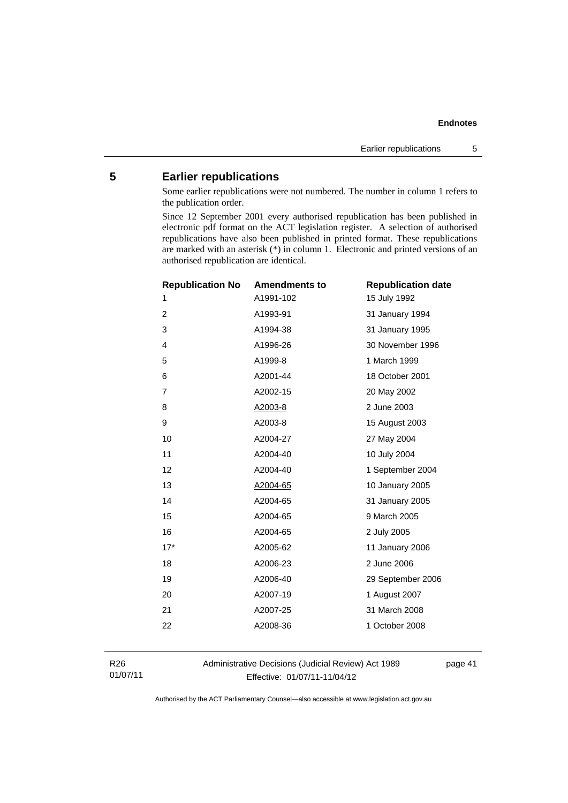## <span id="page-44-0"></span>**5 Earlier republications**

Some earlier republications were not numbered. The number in column 1 refers to the publication order.

Since 12 September 2001 every authorised republication has been published in electronic pdf format on the ACT legislation register. A selection of authorised republications have also been published in printed format. These republications are marked with an asterisk (\*) in column 1. Electronic and printed versions of an authorised republication are identical.

| <b>Republication No</b> | <b>Amendments to</b> | <b>Republication date</b> |
|-------------------------|----------------------|---------------------------|
| 1                       | A1991-102            | 15 July 1992              |
| 2                       | A1993-91             | 31 January 1994           |
| 3                       | A1994-38             | 31 January 1995           |
| $\overline{4}$          | A1996-26             | 30 November 1996          |
| 5                       | A1999-8              | 1 March 1999              |
| 6                       | A2001-44             | 18 October 2001           |
| $\overline{7}$          | A2002-15             | 20 May 2002               |
| 8                       | A2003-8              | 2 June 2003               |
| 9                       | A2003-8              | 15 August 2003            |
| 10                      | A2004-27             | 27 May 2004               |
| 11                      | A2004-40             | 10 July 2004              |
| 12                      | A2004-40             | 1 September 2004          |
| 13                      | A2004-65             | 10 January 2005           |
| 14                      | A2004-65             | 31 January 2005           |
| 15                      | A2004-65             | 9 March 2005              |
| 16                      | A2004-65             | 2 July 2005               |
| $17*$                   | A2005-62             | 11 January 2006           |
| 18                      | A2006-23             | 2 June 2006               |
| 19                      | A2006-40             | 29 September 2006         |
| 20                      | A2007-19             | 1 August 2007             |
| 21                      | A2007-25             | 31 March 2008             |
| 22                      | A2008-36             | 1 October 2008            |
|                         |                      |                           |

R26 01/07/11 Administrative Decisions (Judicial Review) Act 1989 Effective: 01/07/11-11/04/12

page 41